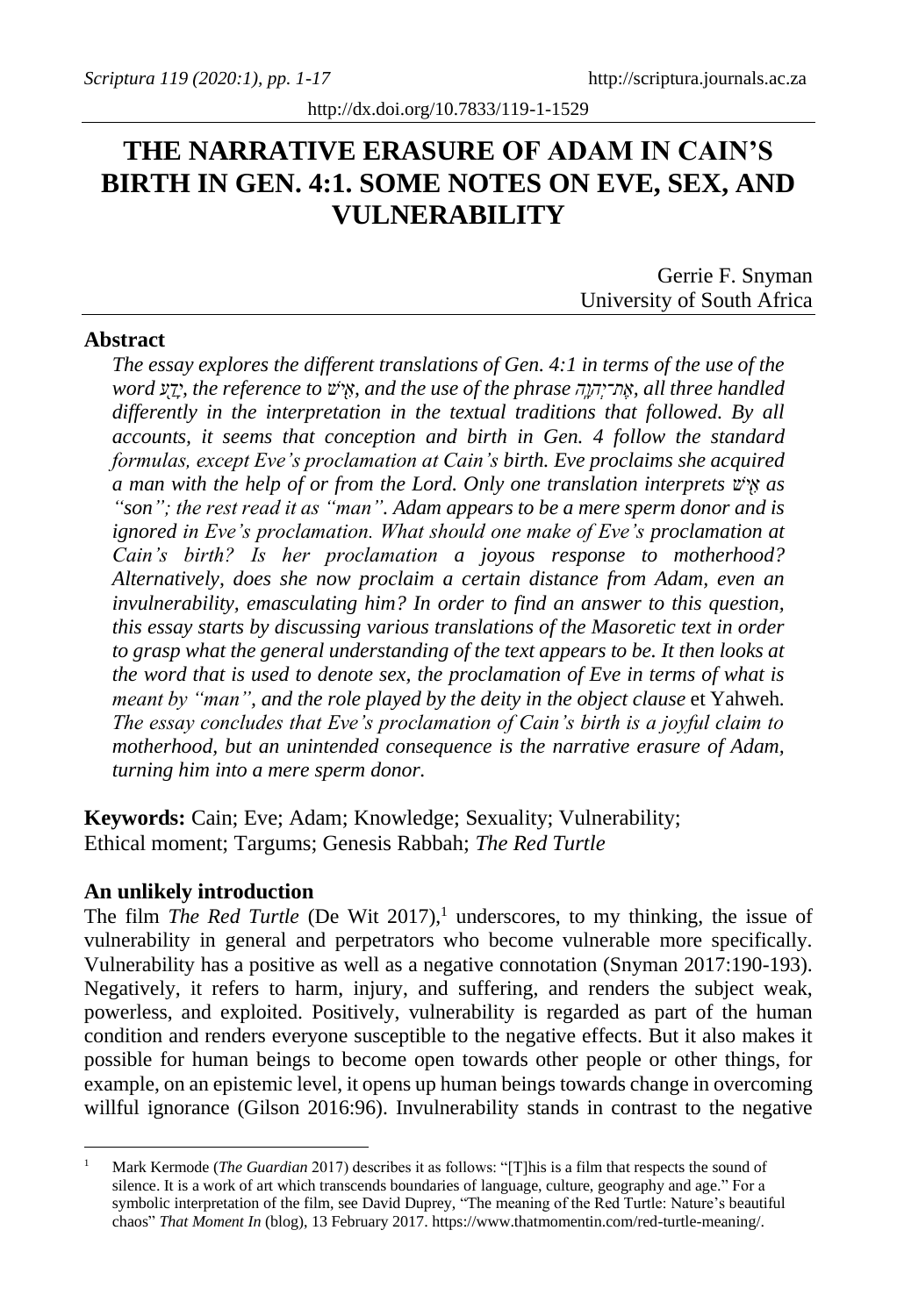# **THE NARRATIVE ERASURE OF ADAM IN CAIN'S BIRTH IN GEN. 4:1. SOME NOTES ON EVE, SEX, AND VULNERABILITY**

Gerrie F. Snyman University of South Africa

### **Abstract**

*The essay explores the different translations of Gen. 4:1 in terms of the use of the word ע ַ֖ דָי, the reference to ׁיש ַ֖ א, and the use of the phrase ה ָָֽהו ְת־י ֶא, all three handled differently in the interpretation in the textual traditions that followed. By all accounts, it seems that conception and birth in Gen. 4 follow the standard formulas, except Eve's proclamation at Cain's birth. Eve proclaims she acquired a man with the help of or from the Lord. Only one translation interprets יש ַ֖ א as "son"; the rest read it as "man". Adam appears to be a mere sperm donor and is ignored in Eve's proclamation. What should one make of Eve's proclamation at Cain's birth? Is her proclamation a joyous response to motherhood? Alternatively, does she now proclaim a certain distance from Adam, even an invulnerability, emasculating him? In order to find an answer to this question, this essay starts by discussing various translations of the Masoretic text in order*  to grasp what the general understanding of the text appears to be. It then looks at *the word that is used to denote sex, the proclamation of Eve in terms of what is meant by "man", and the role played by the deity in the object clause et Yahweh. The essay concludes that Eve's proclamation of Cain's birth is a joyful claim to motherhood, but an unintended consequence is the narrative erasure of Adam, turning him into a mere sperm donor.*

**Keywords:** Cain; Eve; Adam; Knowledge; Sexuality; Vulnerability; Ethical moment; Targums; Genesis Rabbah; *The Red Turtle*

### **An unlikely introduction**

The film *The Red Turtle* (De Wit 2017),<sup>1</sup> underscores, to my thinking, the issue of vulnerability in general and perpetrators who become vulnerable more specifically. Vulnerability has a positive as well as a negative connotation (Snyman 2017:190-193). Negatively, it refers to harm, injury, and suffering, and renders the subject weak, powerless, and exploited. Positively, vulnerability is regarded as part of the human condition and renders everyone susceptible to the negative effects. But it also makes it possible for human beings to become open towards other people or other things, for example, on an epistemic level, it opens up human beings towards change in overcoming willful ignorance (Gilson 2016:96). Invulnerability stands in contrast to the negative

<sup>1</sup> Mark Kermode (*The Guardian* 2017) describes it as follows: "[T]his is a film that respects the sound of silence. It is a work of art which transcends boundaries of language, culture, geography and age." For a symbolic interpretation of the film, see David Duprey, "The meaning of the Red Turtle: Nature's beautiful chaos" *That Moment In* (blog), 13 February 2017[. https://www.thatmomentin.com/red-turtle-meaning/.](https://www.thatmomentin.com/red-turtle-meaning/)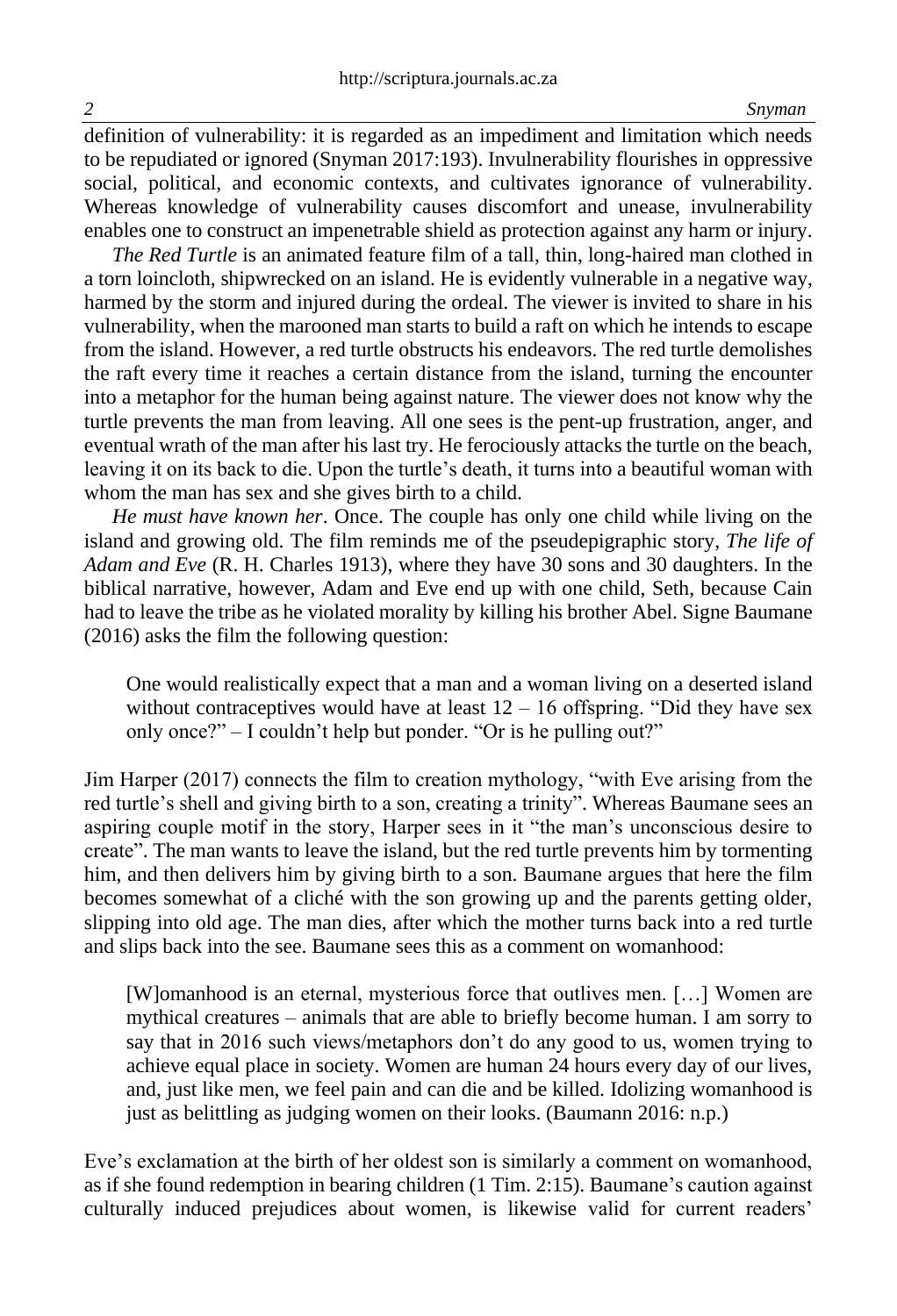definition of vulnerability: it is regarded as an impediment and limitation which needs to be repudiated or ignored (Snyman 2017:193). Invulnerability flourishes in oppressive social, political, and economic contexts, and cultivates ignorance of vulnerability. Whereas knowledge of vulnerability causes discomfort and unease, invulnerability enables one to construct an impenetrable shield as protection against any harm or injury.

*The Red Turtle* is an animated feature film of a tall, thin, long-haired man clothed in a torn loincloth, shipwrecked on an island. He is evidently vulnerable in a negative way, harmed by the storm and injured during the ordeal. The viewer is invited to share in his vulnerability, when the marooned man starts to build a raft on which he intends to escape from the island. However, a red turtle obstructs his endeavors. The red turtle demolishes the raft every time it reaches a certain distance from the island, turning the encounter into a metaphor for the human being against nature. The viewer does not know why the turtle prevents the man from leaving. All one sees is the pent-up frustration, anger, and eventual wrath of the man after his last try. He ferociously attacks the turtle on the beach, leaving it on its back to die. Upon the turtle's death, it turns into a beautiful woman with whom the man has sex and she gives birth to a child.

*He must have known her*. Once. The couple has only one child while living on the island and growing old. The film reminds me of the pseudepigraphic story, *The life of Adam and Eve* (R. H. Charles 1913), where they have 30 sons and 30 daughters. In the biblical narrative, however, Adam and Eve end up with one child, Seth, because Cain had to leave the tribe as he violated morality by killing his brother Abel. Signe Baumane (2016) asks the film the following question:

One would realistically expect that a man and a woman living on a deserted island without contraceptives would have at least  $12 - 16$  offspring. "Did they have sex only once?" – I couldn't help but ponder. "Or is he pulling out?"

Jim Harper (2017) connects the film to creation mythology, "with Eve arising from the red turtle's shell and giving birth to a son, creating a trinity". Whereas Baumane sees an aspiring couple motif in the story, Harper sees in it "the man's unconscious desire to create". The man wants to leave the island, but the red turtle prevents him by tormenting him, and then delivers him by giving birth to a son. Baumane argues that here the film becomes somewhat of a cliché with the son growing up and the parents getting older, slipping into old age. The man dies, after which the mother turns back into a red turtle and slips back into the see. Baumane sees this as a comment on womanhood:

[W]omanhood is an eternal, mysterious force that outlives men. […] Women are mythical creatures – animals that are able to briefly become human. I am sorry to say that in 2016 such views/metaphors don't do any good to us, women trying to achieve equal place in society. Women are human 24 hours every day of our lives, and, just like men, we feel pain and can die and be killed. Idolizing womanhood is just as belittling as judging women on their looks. (Baumann 2016: n.p.)

Eve's exclamation at the birth of her oldest son is similarly a comment on womanhood, as if she found redemption in bearing children (1 Tim. 2:15). Baumane's caution against culturally induced prejudices about women, is likewise valid for current readers'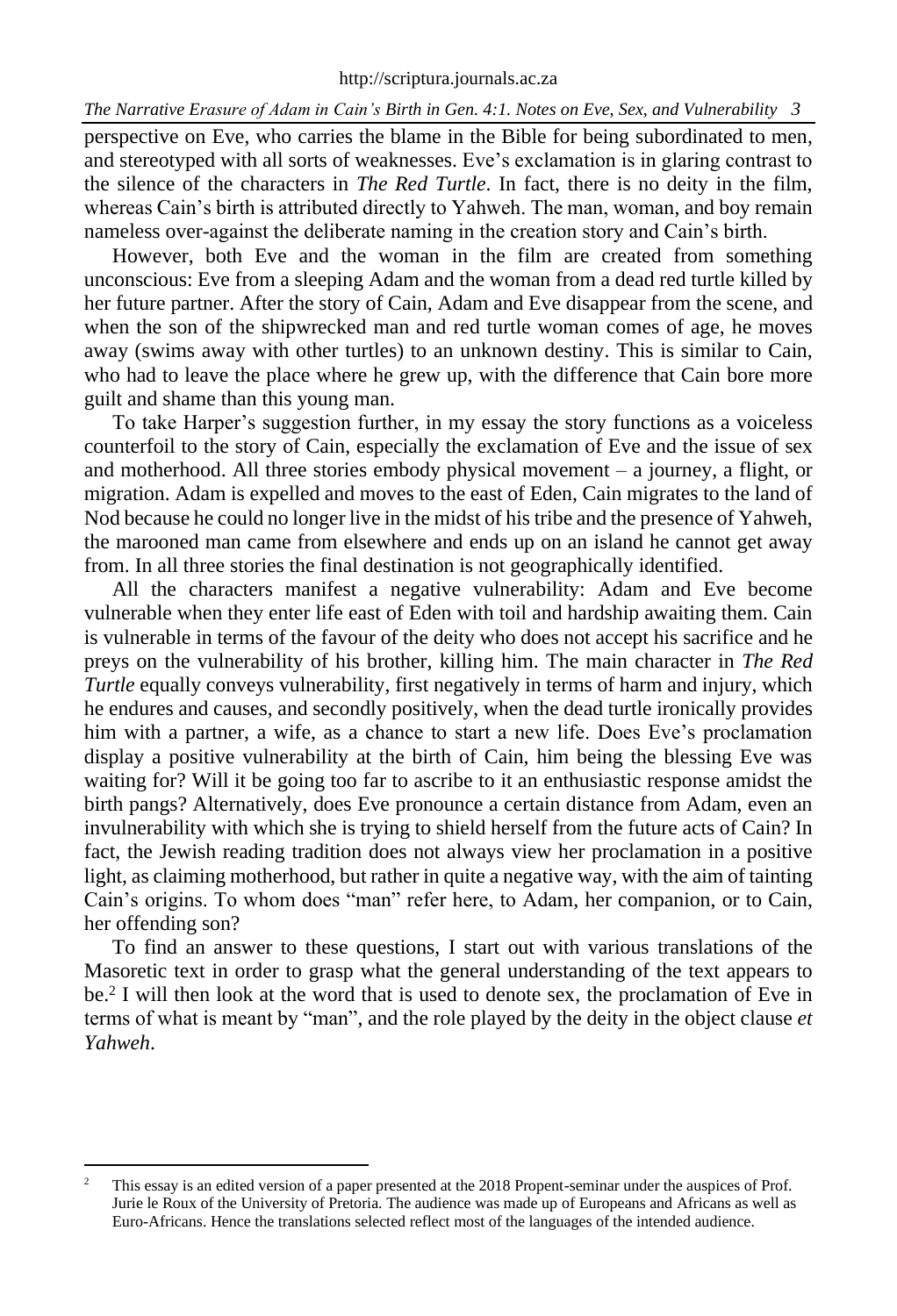perspective on Eve, who carries the blame in the Bible for being subordinated to men, and stereotyped with all sorts of weaknesses. Eve's exclamation is in glaring contrast to the silence of the characters in *The Red Turtle*. In fact, there is no deity in the film, whereas Cain's birth is attributed directly to Yahweh. The man, woman, and boy remain nameless over-against the deliberate naming in the creation story and Cain's birth.

However, both Eve and the woman in the film are created from something unconscious: Eve from a sleeping Adam and the woman from a dead red turtle killed by her future partner. After the story of Cain, Adam and Eve disappear from the scene, and when the son of the shipwrecked man and red turtle woman comes of age, he moves away (swims away with other turtles) to an unknown destiny. This is similar to Cain, who had to leave the place where he grew up, with the difference that Cain bore more guilt and shame than this young man.

To take Harper's suggestion further, in my essay the story functions as a voiceless counterfoil to the story of Cain, especially the exclamation of Eve and the issue of sex and motherhood. All three stories embody physical movement – a journey, a flight, or migration. Adam is expelled and moves to the east of Eden, Cain migrates to the land of Nod because he could no longer live in the midst of his tribe and the presence of Yahweh, the marooned man came from elsewhere and ends up on an island he cannot get away from. In all three stories the final destination is not geographically identified.

All the characters manifest a negative vulnerability: Adam and Eve become vulnerable when they enter life east of Eden with toil and hardship awaiting them. Cain is vulnerable in terms of the favour of the deity who does not accept his sacrifice and he preys on the vulnerability of his brother, killing him. The main character in *The Red Turtle* equally conveys vulnerability, first negatively in terms of harm and injury, which he endures and causes, and secondly positively, when the dead turtle ironically provides him with a partner, a wife, as a chance to start a new life. Does Eve's proclamation display a positive vulnerability at the birth of Cain, him being the blessing Eve was waiting for? Will it be going too far to ascribe to it an enthusiastic response amidst the birth pangs? Alternatively, does Eve pronounce a certain distance from Adam, even an invulnerability with which she is trying to shield herself from the future acts of Cain? In fact, the Jewish reading tradition does not always view her proclamation in a positive light, as claiming motherhood, but rather in quite a negative way, with the aim of tainting Cain's origins. To whom does "man" refer here, to Adam, her companion, or to Cain, her offending son?

To find an answer to these questions, I start out with various translations of the Masoretic text in order to grasp what the general understanding of the text appears to be.<sup>2</sup> I will then look at the word that is used to denote sex, the proclamation of Eve in terms of what is meant by "man", and the role played by the deity in the object clause *et Yahweh*.

<sup>&</sup>lt;sup>2</sup> This essay is an edited version of a paper presented at the 2018 Propent-seminar under the auspices of Prof. Jurie le Roux of the University of Pretoria. The audience was made up of Europeans and Africans as well as Euro-Africans. Hence the translations selected reflect most of the languages of the intended audience.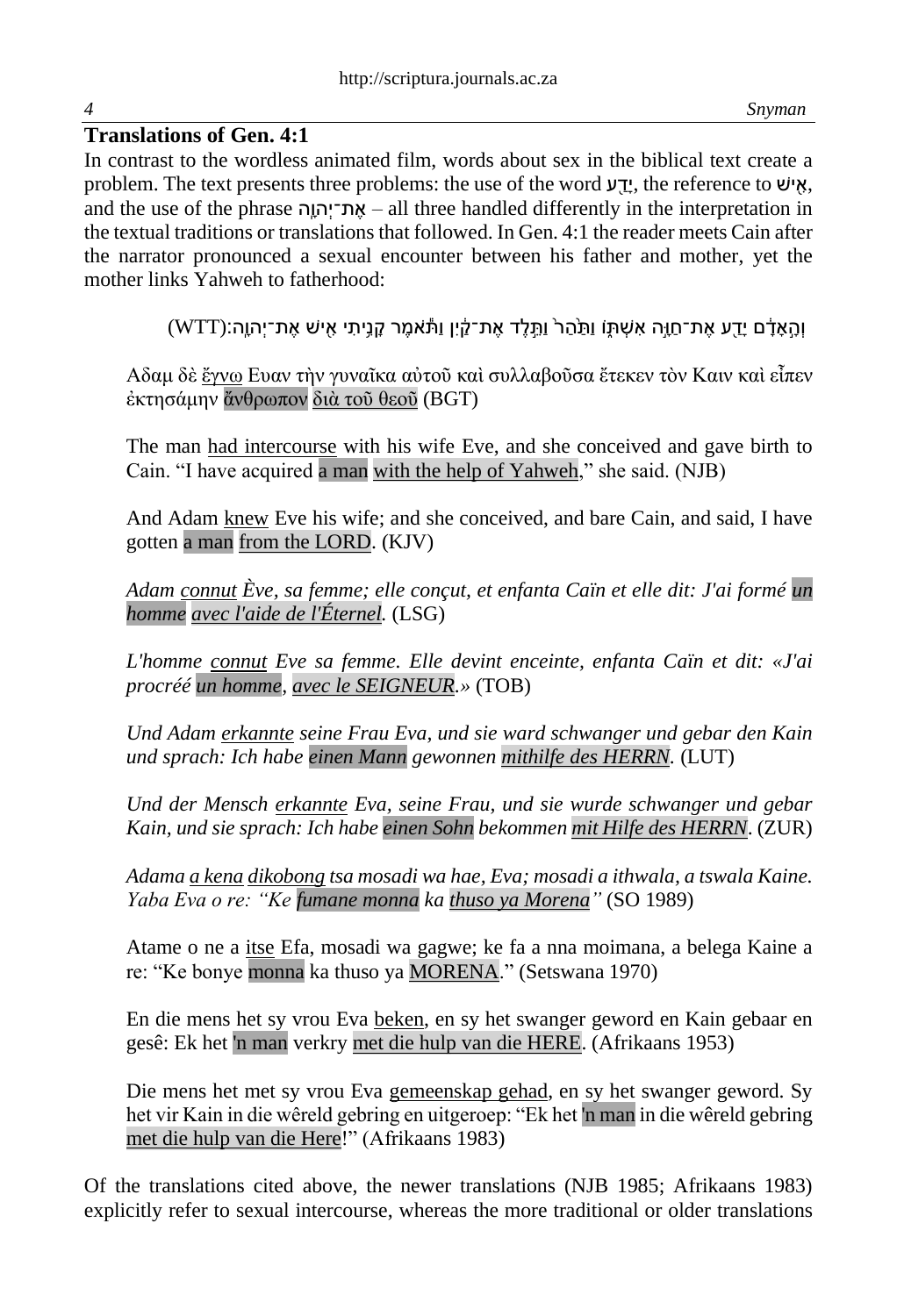# **Translations of Gen. 4:1**

In contrast to the wordless animated film, words about sex in the biblical text create a problem. The text presents three problems: the use of the word ע
יש: the reference to איש: and the use of the phrase הָָֽהוְת־י ֶא – all three handled differently in the interpretation in the textual traditions or translations that followed. In Gen. 4:1 the reader meets Cain after the narrator pronounced a sexual encounter between his father and mother, yet the mother links Yahweh to fatherhood:

וְהָאָדָם יָדַע אֶת־חַוֶּה אִשְׁתְּו וַתַּהֲרֹ וַתֵּלֵד אֶת־קֵׂיָן וַתֹּאמֶר קֶנֶיתִי אִישׁ אֶת־יְהוֶה:(WTT)

Αδαμ δὲ ἔγνω Ευαν τὴν γυναῖκα αὐτοῦ καὶ συλλαβοῦσα ἔτεκεν τὸν Καιν καὶ εἶπεν ἐκτησάμην ἄνθρωπον διὰ τοῦ θεοῦ (BGT)

The man had intercourse with his wife Eve, and she conceived and gave birth to Cain. "I have acquired a man with the help of Yahweh," she said. (NJB)

And Adam knew Eve his wife; and she conceived, and bare Cain, and said, I have gotten a man from the LORD. (KJV)

*Adam connut Ève, sa femme; elle conçut, et enfanta Caïn et elle dit: J'ai formé un homme avec l'aide de l'Éternel.* (LSG)

*L'homme connut Eve sa femme. Elle devint enceinte, enfanta Caïn et dit: «J'ai procréé un homme, avec le SEIGNEUR.»* (TOB)

*Und Adam erkannte seine Frau Eva, und sie ward schwanger und gebar den Kain und sprach: Ich habe einen Mann gewonnen mithilfe des HERRN.* (LUT)

*Und der Mensch erkannte Eva, seine Frau, und sie wurde schwanger und gebar Kain, und sie sprach: Ich habe einen Sohn bekommen mit Hilfe des HERRN*. (ZUR)

*Adama a kena dikobong tsa mosadi wa hae, Eva; mosadi a ithwala, a tswala Kaine. Yaba Eva o re: "Ke fumane monna ka thuso ya Morena"* (SO 1989)

Atame o ne a itse Efa, mosadi wa gagwe; ke fa a nna moimana, a belega Kaine a re: "Ke bonye monna ka thuso ya MORENA." (Setswana 1970)

En die mens het sy vrou Eva beken, en sy het swanger geword en Kain gebaar en gesê: Ek het 'n man verkry met die hulp van die HERE. (Afrikaans 1953)

Die mens het met sy vrou Eva gemeenskap gehad, en sy het swanger geword. Sy het vir Kain in die wêreld gebring en uitgeroep: "Ek het 'n man in die wêreld gebring met die hulp van die Here!" (Afrikaans 1983)

Of the translations cited above, the newer translations (NJB 1985; Afrikaans 1983) explicitly refer to sexual intercourse, whereas the more traditional or older translations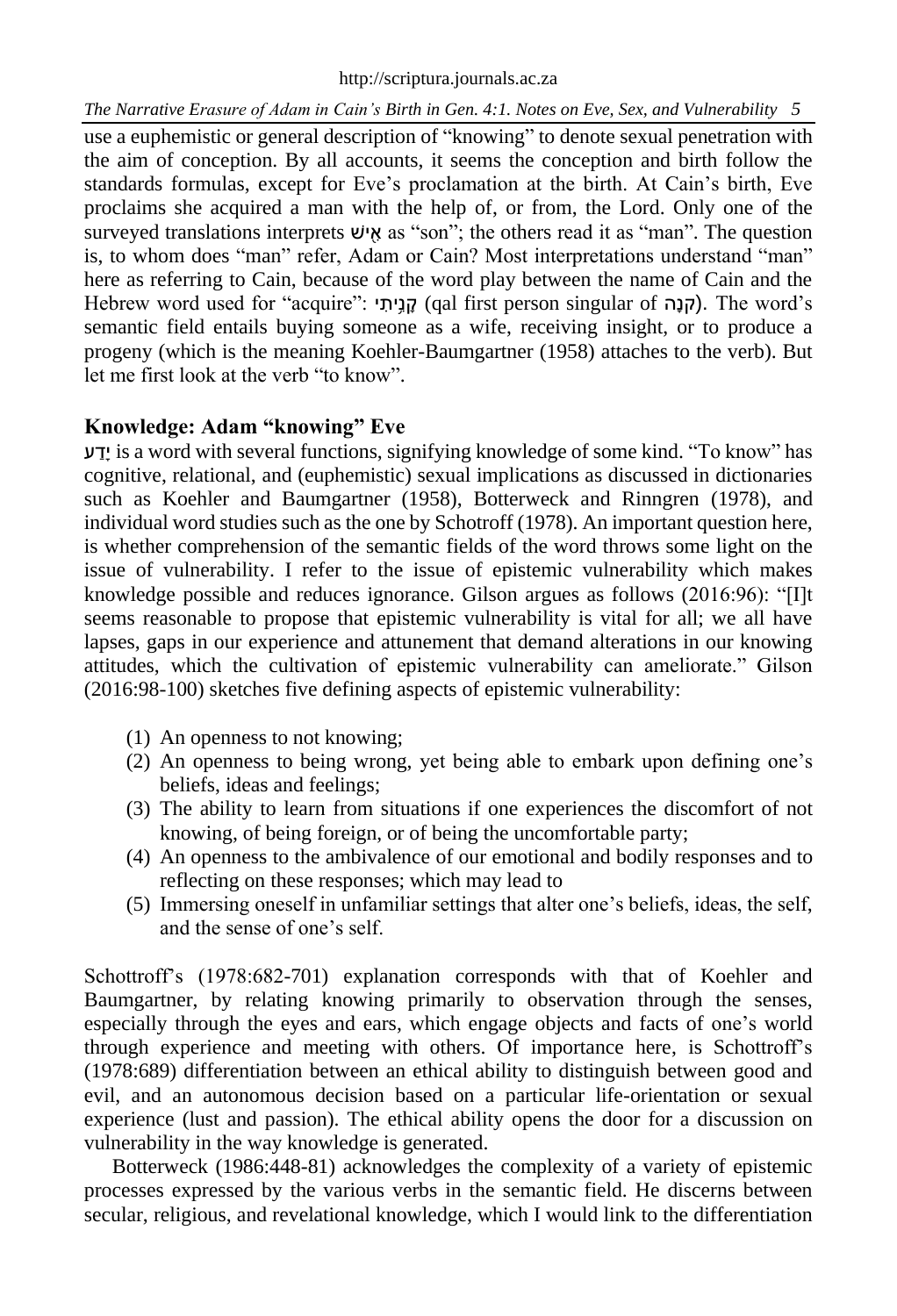use a euphemistic or general description of "knowing" to denote sexual penetration with the aim of conception. By all accounts, it seems the conception and birth follow the standards formulas, except for Eve's proclamation at the birth. At Cain's birth, Eve proclaims she acquired a man with the help of, or from, the Lord. Only one of the surveyed translations interprets שׁי ַ֖ א as "son"; the others read it as "man". The question is, to whom does "man" refer, Adam or Cain? Most interpretations understand "man" here as referring to Cain, because of the word play between the name of Cain and the Hebrew word used for "acquire": 
קניתי) qal first person singular of הָנָה). The word's semantic field entails buying someone as a wife, receiving insight, or to produce a progeny (which is the meaning Koehler-Baumgartner (1958) attaches to the verb). But let me first look at the verb "to know".

# **Knowledge: Adam "knowing" Eve**

ע דָי is a word with several functions, signifying knowledge of some kind. "To know" has cognitive, relational, and (euphemistic) sexual implications as discussed in dictionaries such as Koehler and Baumgartner (1958), Botterweck and Rinngren (1978), and individual word studies such as the one by Schotroff (1978). An important question here, is whether comprehension of the semantic fields of the word throws some light on the issue of vulnerability. I refer to the issue of epistemic vulnerability which makes knowledge possible and reduces ignorance. Gilson argues as follows (2016:96): "[I]t seems reasonable to propose that epistemic vulnerability is vital for all; we all have lapses, gaps in our experience and attunement that demand alterations in our knowing attitudes, which the cultivation of epistemic vulnerability can ameliorate." Gilson (2016:98-100) sketches five defining aspects of epistemic vulnerability:

- (1) An openness to not knowing;
- (2) An openness to being wrong, yet being able to embark upon defining one's beliefs, ideas and feelings;
- (3) The ability to learn from situations if one experiences the discomfort of not knowing, of being foreign, or of being the uncomfortable party;
- (4) An openness to the ambivalence of our emotional and bodily responses and to reflecting on these responses; which may lead to
- (5) Immersing oneself in unfamiliar settings that alter one's beliefs, ideas, the self, and the sense of one's self.

Schottroff's (1978:682-701) explanation corresponds with that of Koehler and Baumgartner, by relating knowing primarily to observation through the senses, especially through the eyes and ears, which engage objects and facts of one's world through experience and meeting with others. Of importance here, is Schottroff's (1978:689) differentiation between an ethical ability to distinguish between good and evil, and an autonomous decision based on a particular life-orientation or sexual experience (lust and passion). The ethical ability opens the door for a discussion on vulnerability in the way knowledge is generated.

Botterweck (1986:448-81) acknowledges the complexity of a variety of epistemic processes expressed by the various verbs in the semantic field. He discerns between secular, religious, and revelational knowledge, which I would link to the differentiation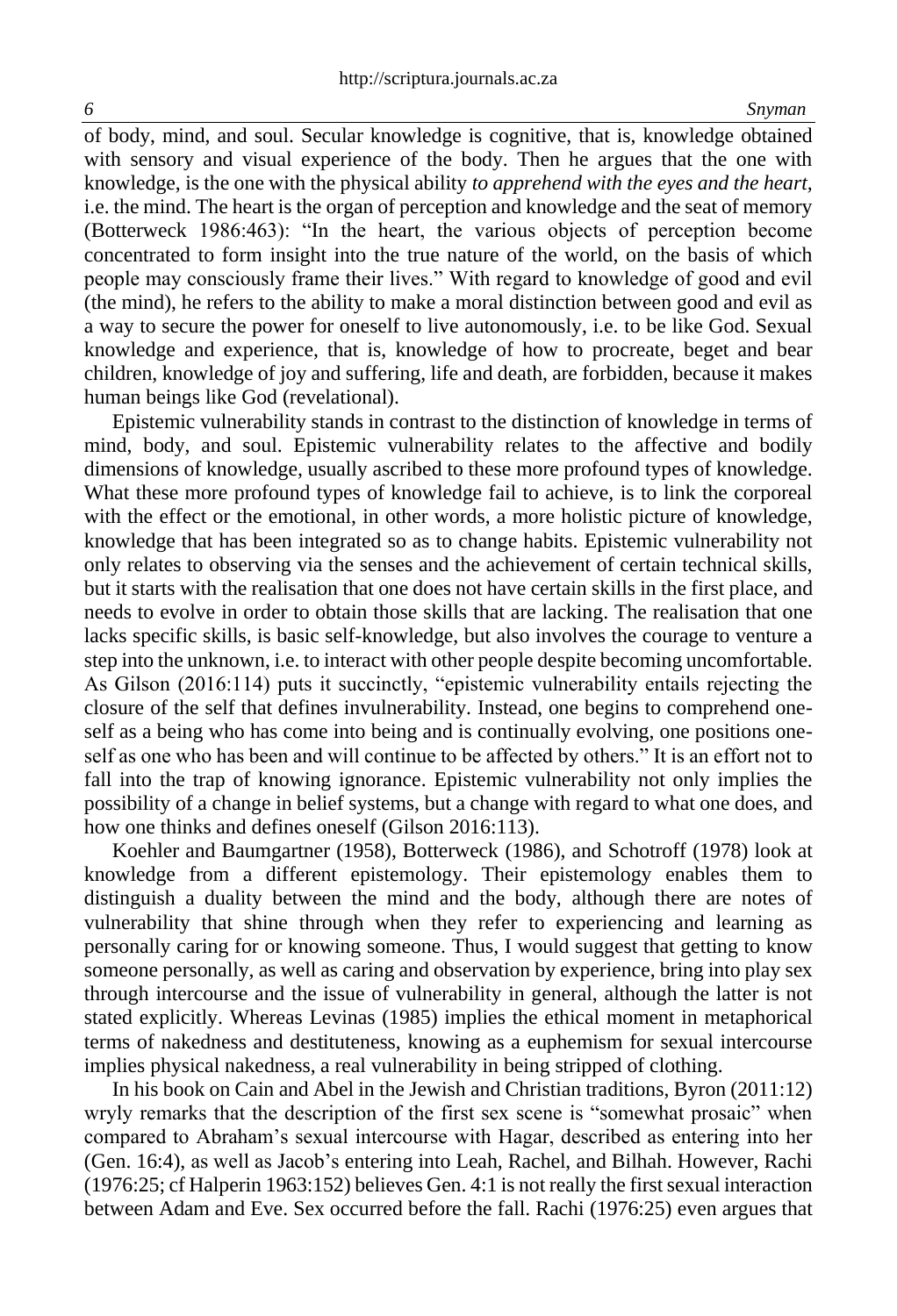of body, mind, and soul. Secular knowledge is cognitive, that is, knowledge obtained with sensory and visual experience of the body. Then he argues that the one with knowledge, is the one with the physical ability *to apprehend with the eyes and the heart,* i.e. the mind. The heart is the organ of perception and knowledge and the seat of memory (Botterweck 1986:463): "In the heart, the various objects of perception become concentrated to form insight into the true nature of the world, on the basis of which people may consciously frame their lives." With regard to knowledge of good and evil (the mind), he refers to the ability to make a moral distinction between good and evil as a way to secure the power for oneself to live autonomously, i.e. to be like God. Sexual knowledge and experience, that is, knowledge of how to procreate, beget and bear children, knowledge of joy and suffering, life and death, are forbidden, because it makes human beings like God (revelational).

Epistemic vulnerability stands in contrast to the distinction of knowledge in terms of mind, body, and soul. Epistemic vulnerability relates to the affective and bodily dimensions of knowledge, usually ascribed to these more profound types of knowledge. What these more profound types of knowledge fail to achieve, is to link the corporeal with the effect or the emotional, in other words, a more holistic picture of knowledge, knowledge that has been integrated so as to change habits. Epistemic vulnerability not only relates to observing via the senses and the achievement of certain technical skills, but it starts with the realisation that one does not have certain skills in the first place, and needs to evolve in order to obtain those skills that are lacking. The realisation that one lacks specific skills, is basic self-knowledge, but also involves the courage to venture a step into the unknown, i.e. to interact with other people despite becoming uncomfortable. As Gilson (2016:114) puts it succinctly, "epistemic vulnerability entails rejecting the closure of the self that defines invulnerability. Instead, one begins to comprehend oneself as a being who has come into being and is continually evolving, one positions oneself as one who has been and will continue to be affected by others." It is an effort not to fall into the trap of knowing ignorance. Epistemic vulnerability not only implies the possibility of a change in belief systems, but a change with regard to what one does, and how one thinks and defines oneself (Gilson 2016:113).

Koehler and Baumgartner (1958), Botterweck (1986), and Schotroff (1978) look at knowledge from a different epistemology. Their epistemology enables them to distinguish a duality between the mind and the body, although there are notes of vulnerability that shine through when they refer to experiencing and learning as personally caring for or knowing someone. Thus, I would suggest that getting to know someone personally, as well as caring and observation by experience, bring into play sex through intercourse and the issue of vulnerability in general, although the latter is not stated explicitly. Whereas Levinas (1985) implies the ethical moment in metaphorical terms of nakedness and destituteness, knowing as a euphemism for sexual intercourse implies physical nakedness, a real vulnerability in being stripped of clothing.

In his book on Cain and Abel in the Jewish and Christian traditions, Byron (2011:12) wryly remarks that the description of the first sex scene is "somewhat prosaic" when compared to Abraham's sexual intercourse with Hagar, described as entering into her (Gen. 16:4), as well as Jacob's entering into Leah, Rachel, and Bilhah. However, Rachi (1976:25; cf Halperin 1963:152) believes Gen. 4:1 is not really the first sexual interaction between Adam and Eve. Sex occurred before the fall. Rachi (1976:25) even argues that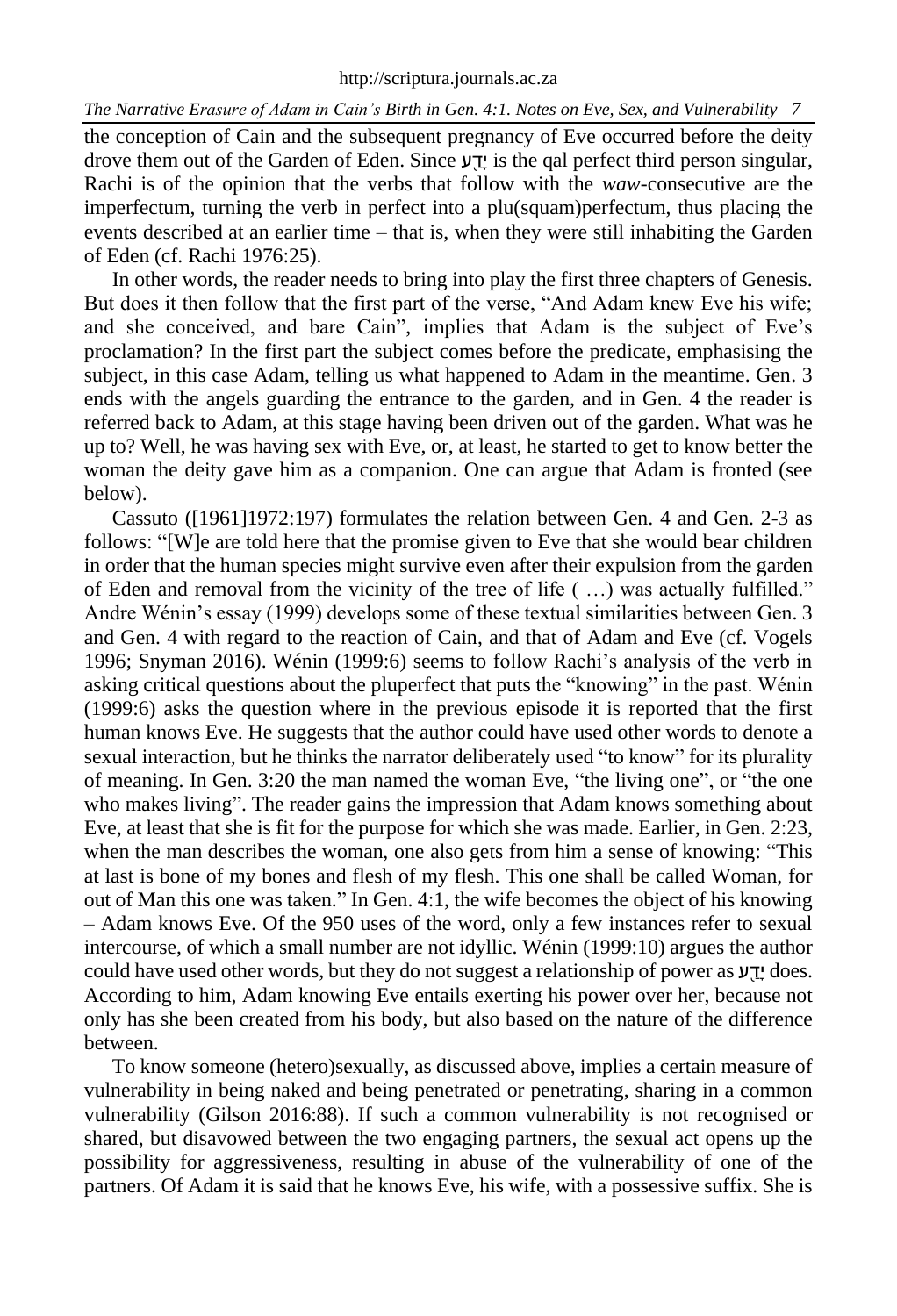the conception of Cain and the subsequent pregnancy of Eve occurred before the deity drove them out of the Garden of Eden. Since יִדע is the qal perfect third person singular, Rachi is of the opinion that the verbs that follow with the *waw-*consecutive are the imperfectum, turning the verb in perfect into a plu(squam)perfectum, thus placing the events described at an earlier time – that is, when they were still inhabiting the Garden of Eden (cf. Rachi 1976:25).

In other words, the reader needs to bring into play the first three chapters of Genesis. But does it then follow that the first part of the verse, "And Adam knew Eve his wife; and she conceived, and bare Cain", implies that Adam is the subject of Eve's proclamation? In the first part the subject comes before the predicate, emphasising the subject, in this case Adam, telling us what happened to Adam in the meantime. Gen. 3 ends with the angels guarding the entrance to the garden, and in Gen. 4 the reader is referred back to Adam, at this stage having been driven out of the garden. What was he up to? Well, he was having sex with Eve, or, at least, he started to get to know better the woman the deity gave him as a companion. One can argue that Adam is fronted (see below).

Cassuto ([1961]1972:197) formulates the relation between Gen. 4 and Gen. 2-3 as follows: "[W]e are told here that the promise given to Eve that she would bear children in order that the human species might survive even after their expulsion from the garden of Eden and removal from the vicinity of the tree of life ( …) was actually fulfilled." Andre Wénin's essay (1999) develops some of these textual similarities between Gen. 3 and Gen. 4 with regard to the reaction of Cain, and that of Adam and Eve (cf. Vogels 1996; Snyman 2016). Wénin (1999:6) seems to follow Rachi's analysis of the verb in asking critical questions about the pluperfect that puts the "knowing" in the past. Wénin (1999:6) asks the question where in the previous episode it is reported that the first human knows Eve. He suggests that the author could have used other words to denote a sexual interaction, but he thinks the narrator deliberately used "to know" for its plurality of meaning. In Gen. 3:20 the man named the woman Eve, "the living one", or "the one who makes living". The reader gains the impression that Adam knows something about Eve, at least that she is fit for the purpose for which she was made. Earlier, in Gen. 2:23, when the man describes the woman, one also gets from him a sense of knowing: "This at last is bone of my bones and flesh of my flesh. This one shall be called Woman, for out of Man this one was taken." In Gen. 4:1, the wife becomes the object of his knowing – Adam knows Eve. Of the 950 uses of the word, only a few instances refer to sexual intercourse, of which a small number are not idyllic. Wénin (1999:10) argues the author could have used other words, but they do not suggest a relationship of power as  $\nabla \mathbf{r}$  does. According to him, Adam knowing Eve entails exerting his power over her, because not only has she been created from his body, but also based on the nature of the difference between.

To know someone (hetero)sexually, as discussed above, implies a certain measure of vulnerability in being naked and being penetrated or penetrating, sharing in a common vulnerability (Gilson 2016:88). If such a common vulnerability is not recognised or shared, but disavowed between the two engaging partners, the sexual act opens up the possibility for aggressiveness, resulting in abuse of the vulnerability of one of the partners. Of Adam it is said that he knows Eve, his wife, with a possessive suffix. She is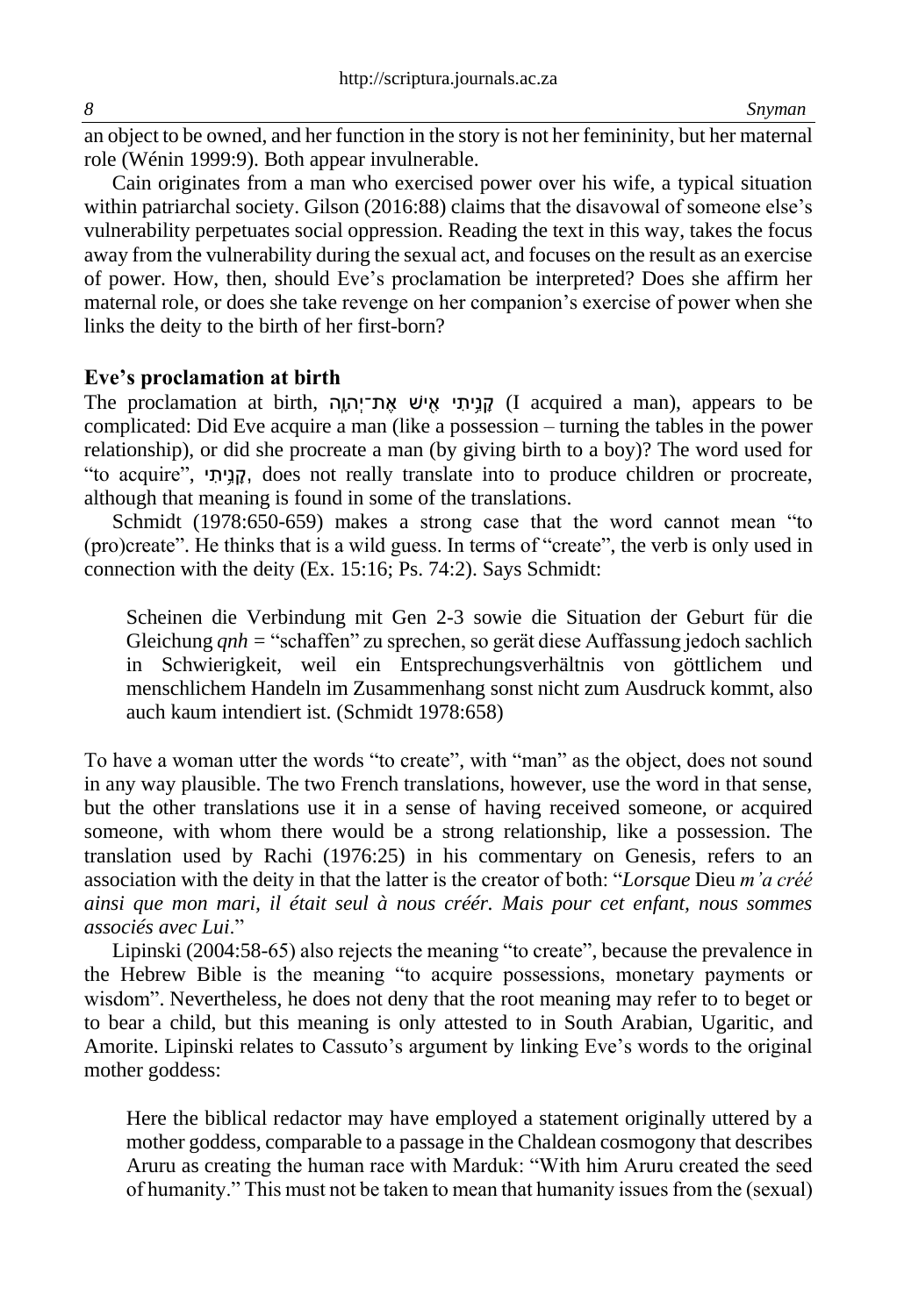an object to be owned, and her function in the story is not her femininity, but her maternal role (Wénin 1999:9). Both appear invulnerable.

Cain originates from a man who exercised power over his wife, a typical situation within patriarchal society. Gilson (2016:88) claims that the disavowal of someone else's vulnerability perpetuates social oppression. Reading the text in this way, takes the focus away from the vulnerability during the sexual act, and focuses on the result as an exercise of power. How, then, should Eve's proclamation be interpreted? Does she affirm her maternal role, or does she take revenge on her companion's exercise of power when she links the deity to the birth of her first-born?

### **Eve's proclamation at birth**

The proclamation at birth, קְנִיתי אישׁ את־יִהְוָה (I acquired a man), appears to be complicated: Did Eve acquire a man (like a possession – turning the tables in the power relationship), or did she procreate a man (by giving birth to a boy)? The word used for "to acquire", 'הֲנָיִתָּ, does not really translate into to produce children or procreate, although that meaning is found in some of the translations.

Schmidt (1978:650-659) makes a strong case that the word cannot mean "to (pro)create". He thinks that is a wild guess. In terms of "create", the verb is only used in connection with the deity (Ex. 15:16; Ps. 74:2). Says Schmidt:

Scheinen die Verbindung mit Gen 2-3 sowie die Situation der Geburt für die Gleichung *qnh =* "schaffen" zu sprechen, so gerät diese Auffassung jedoch sachlich in Schwierigkeit, weil ein Entsprechungsverhältnis von göttlichem und menschlichem Handeln im Zusammenhang sonst nicht zum Ausdruck kommt, also auch kaum intendiert ist. (Schmidt 1978:658)

To have a woman utter the words "to create", with "man" as the object, does not sound in any way plausible. The two French translations, however, use the word in that sense, but the other translations use it in a sense of having received someone, or acquired someone, with whom there would be a strong relationship, like a possession. The translation used by Rachi (1976:25) in his commentary on Genesis, refers to an association with the deity in that the latter is the creator of both: "*Lorsque* Dieu *m'a créé ainsi que mon mari, il était seul à nous créér. Mais pour cet enfant, nous sommes associés avec Lui*."

Lipinski (2004:58-65) also rejects the meaning "to create", because the prevalence in the Hebrew Bible is the meaning "to acquire possessions, monetary payments or wisdom". Nevertheless, he does not deny that the root meaning may refer to to beget or to bear a child, but this meaning is only attested to in South Arabian, Ugaritic, and Amorite. Lipinski relates to Cassuto's argument by linking Eve's words to the original mother goddess:

Here the biblical redactor may have employed a statement originally uttered by a mother goddess, comparable to a passage in the Chaldean cosmogony that describes Aruru as creating the human race with Marduk: "With him Aruru created the seed of humanity." This must not be taken to mean that humanity issues from the (sexual)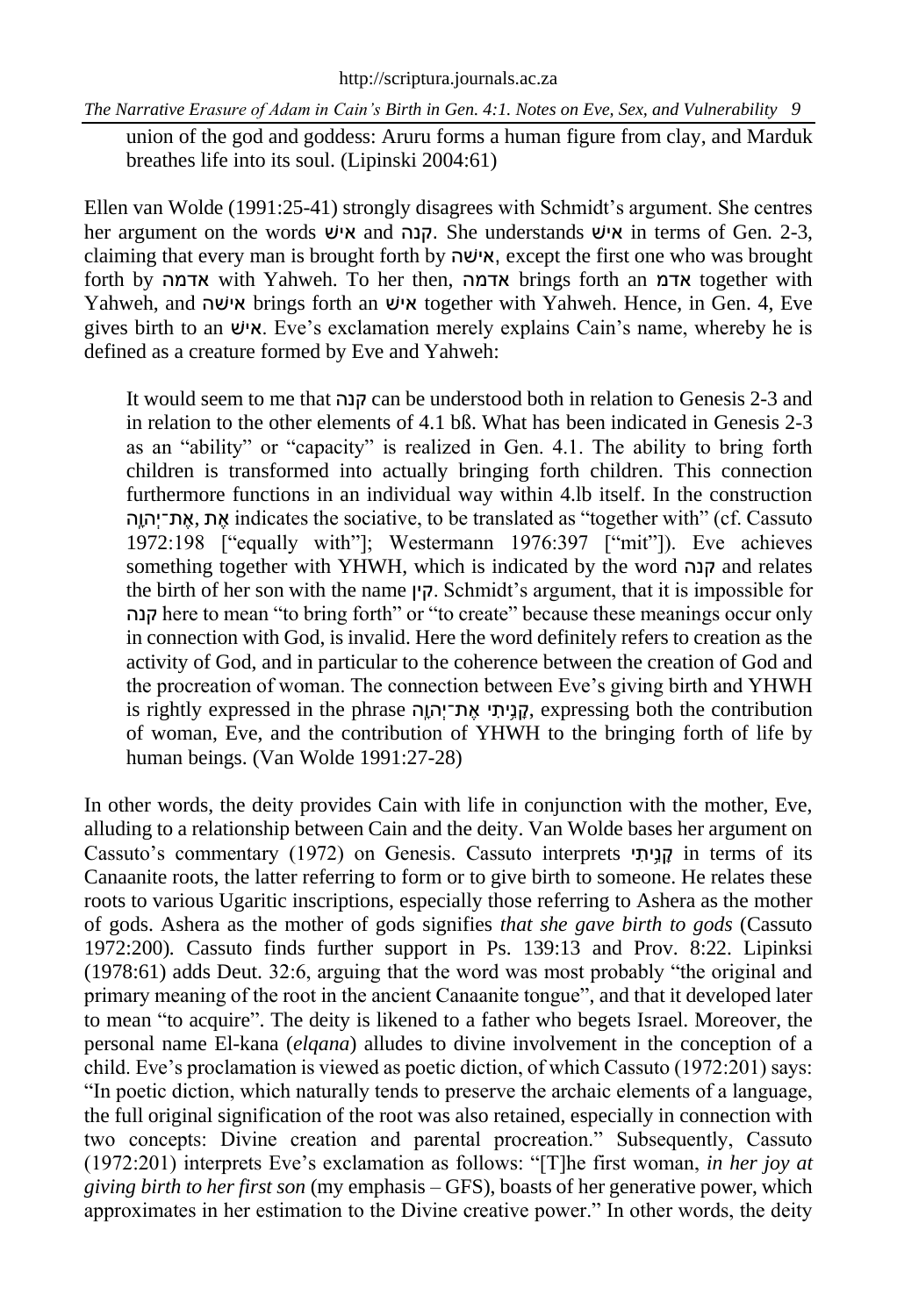union of the god and goddess: Aruru forms a human figure from clay, and Marduk breathes life into its soul. (Lipinski 2004:61)

Ellen van Wolde (1991:25-41) strongly disagrees with Schmidt's argument. She centres her argument on the words איש and קנה. She understands שוֹש in terms of Gen. 2-3, claiming that every man is brought forth by שהׁאי, except the first one who was brought forth by אדמה with Yahweh. To her then, אדמה brings forth an אדמ together with Yahweh, and שהׁאי brings forth an שׁאי together with Yahweh. Hence, in Gen. 4, Eve gives birth to an שׁאי. Eve's exclamation merely explains Cain's name, whereby he is defined as a creature formed by Eve and Yahweh:

It would seem to me that קנה can be understood both in relation to Genesis 2-3 and in relation to the other elements of 4.1 bß. What has been indicated in Genesis 2-3 as an "ability" or "capacity" is realized in Gen. 4.1. The ability to bring forth children is transformed into actually bringing forth children. This connection furthermore functions in an individual way within 4.lb itself. In the construction הָָֽהוְת־י ֶא, ת ֶא indicates the sociative, to be translated as "together with" (cf. Cassuto 1972:198 ["equally with"]; Westermann 1976:397 ["mit"]). Eve achieves something together with YHWH, which is indicated by the word קנה and relates the birth of her son with the name קין. Schmidt's argument, that it is impossible for קנה here to mean "to bring forth" or "to create" because these meanings occur only in connection with God, is invalid. Here the word definitely refers to creation as the activity of God, and in particular to the coherence between the creation of God and the procreation of woman. The connection between Eve's giving birth and YHWH is rightly expressed in the phrase הָָֽהוְת־י ֶא י יתִ֥ נ ָק, expressing both the contribution of woman, Eve, and the contribution of YHWH to the bringing forth of life by human beings. (Van Wolde 1991:27-28)

In other words, the deity provides Cain with life in conjunction with the mother, Eve, alluding to a relationship between Cain and the deity. Van Wolde bases her argument on Cassuto's commentary (1972) on Genesis. Cassuto interprets  $\eta$ נֵית terms of its Canaanite roots, the latter referring to form or to give birth to someone. He relates these roots to various Ugaritic inscriptions, especially those referring to Ashera as the mother of gods. Ashera as the mother of gods signifies *that she gave birth to gods* (Cassuto 1972:200)*.* Cassuto finds further support in Ps. 139:13 and Prov. 8:22. Lipinksi (1978:61) adds Deut. 32:6, arguing that the word was most probably "the original and primary meaning of the root in the ancient Canaanite tongue", and that it developed later to mean "to acquire". The deity is likened to a father who begets Israel. Moreover, the personal name El-kana (*elqana*) alludes to divine involvement in the conception of a child. Eve's proclamation is viewed as poetic diction, of which Cassuto (1972:201) says: "In poetic diction, which naturally tends to preserve the archaic elements of a language, the full original signification of the root was also retained, especially in connection with two concepts: Divine creation and parental procreation." Subsequently, Cassuto (1972:201) interprets Eve's exclamation as follows: "[T]he first woman, *in her joy at giving birth to her first son* (my emphasis – GFS), boasts of her generative power, which approximates in her estimation to the Divine creative power." In other words, the deity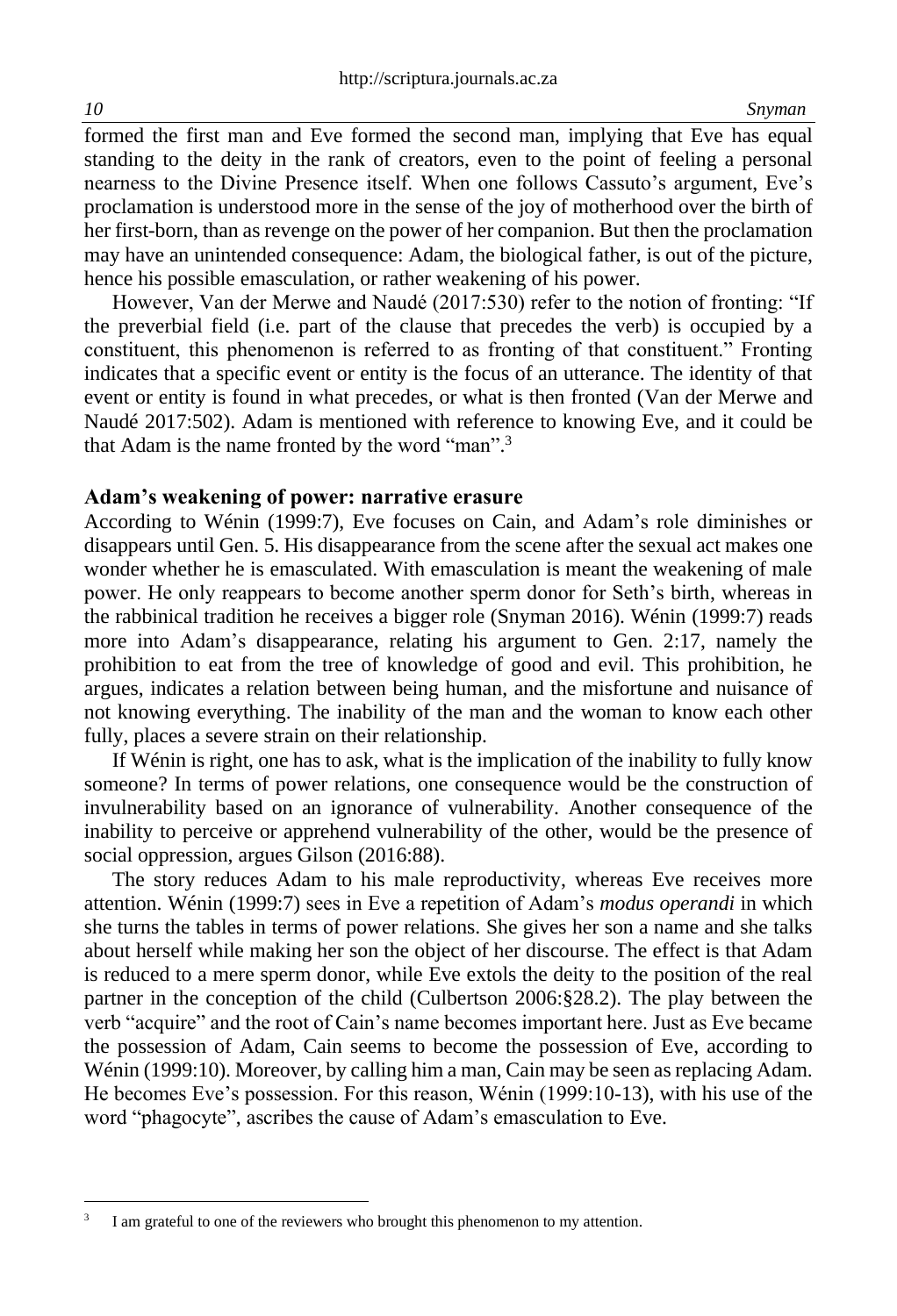formed the first man and Eve formed the second man, implying that Eve has equal standing to the deity in the rank of creators, even to the point of feeling a personal nearness to the Divine Presence itself. When one follows Cassuto's argument, Eve's proclamation is understood more in the sense of the joy of motherhood over the birth of her first-born, than as revenge on the power of her companion. But then the proclamation may have an unintended consequence: Adam, the biological father, is out of the picture, hence his possible emasculation, or rather weakening of his power.

However, Van der Merwe and Naudé (2017:530) refer to the notion of fronting: "If the preverbial field (i.e. part of the clause that precedes the verb) is occupied by a constituent, this phenomenon is referred to as fronting of that constituent." Fronting indicates that a specific event or entity is the focus of an utterance. The identity of that event or entity is found in what precedes, or what is then fronted (Van der Merwe and Naudé 2017:502). Adam is mentioned with reference to knowing Eve, and it could be that Adam is the name fronted by the word "man".<sup>3</sup>

#### **Adam's weakening of power: narrative erasure**

According to Wénin (1999:7), Eve focuses on Cain, and Adam's role diminishes or disappears until Gen. 5. His disappearance from the scene after the sexual act makes one wonder whether he is emasculated. With emasculation is meant the weakening of male power. He only reappears to become another sperm donor for Seth's birth, whereas in the rabbinical tradition he receives a bigger role (Snyman 2016). Wénin (1999:7) reads more into Adam's disappearance, relating his argument to Gen. 2:17, namely the prohibition to eat from the tree of knowledge of good and evil. This prohibition, he argues, indicates a relation between being human, and the misfortune and nuisance of not knowing everything. The inability of the man and the woman to know each other fully, places a severe strain on their relationship.

If Wénin is right, one has to ask, what is the implication of the inability to fully know someone? In terms of power relations, one consequence would be the construction of invulnerability based on an ignorance of vulnerability. Another consequence of the inability to perceive or apprehend vulnerability of the other, would be the presence of social oppression, argues Gilson (2016:88).

The story reduces Adam to his male reproductivity, whereas Eve receives more attention. Wénin (1999:7) sees in Eve a repetition of Adam's *modus operandi* in which she turns the tables in terms of power relations. She gives her son a name and she talks about herself while making her son the object of her discourse. The effect is that Adam is reduced to a mere sperm donor, while Eve extols the deity to the position of the real partner in the conception of the child (Culbertson 2006:§28.2). The play between the verb "acquire" and the root of Cain's name becomes important here. Just as Eve became the possession of Adam, Cain seems to become the possession of Eve, according to Wénin (1999:10). Moreover, by calling him a man, Cain may be seen as replacing Adam. He becomes Eve's possession. For this reason, Wénin (1999:10-13), with his use of the word "phagocyte", ascribes the cause of Adam's emasculation to Eve.

<sup>3</sup> I am grateful to one of the reviewers who brought this phenomenon to my attention.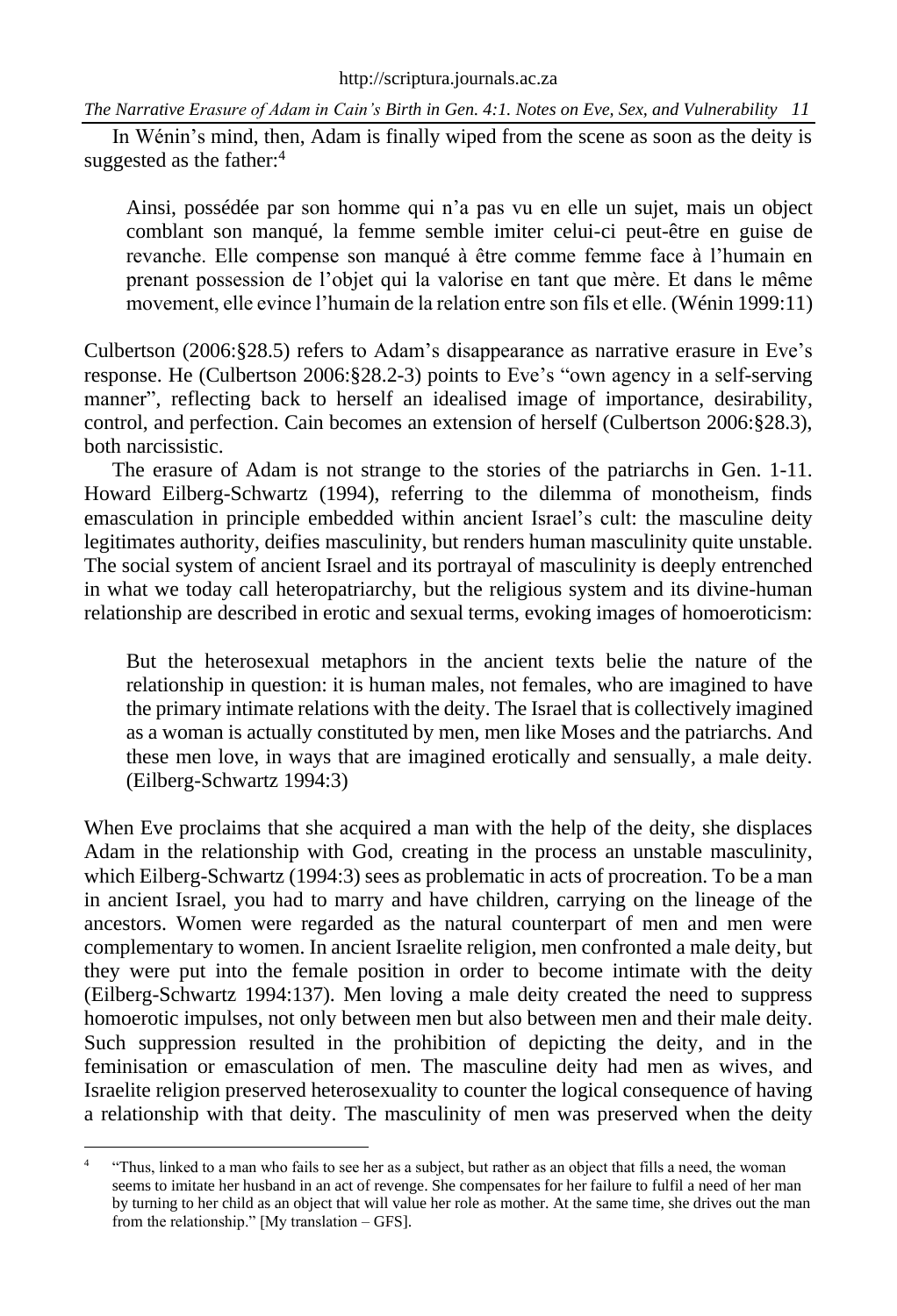In Wénin's mind, then, Adam is finally wiped from the scene as soon as the deity is suggested as the father:<sup>4</sup>

Ainsi, possédée par son homme qui n'a pas vu en elle un sujet, mais un object comblant son manqué, la femme semble imiter celui-ci peut-être en guise de revanche. Elle compense son manqué à être comme femme face à l'humain en prenant possession de l'objet qui la valorise en tant que mère. Et dans le même movement, elle evince l'humain de la relation entre son fils et elle. (Wénin 1999:11)

Culbertson (2006:§28.5) refers to Adam's disappearance as narrative erasure in Eve's response. He (Culbertson 2006:§28.2-3) points to Eve's "own agency in a self-serving manner", reflecting back to herself an idealised image of importance, desirability, control, and perfection. Cain becomes an extension of herself (Culbertson 2006:§28.3), both narcissistic.

The erasure of Adam is not strange to the stories of the patriarchs in Gen. 1-11. Howard Eilberg-Schwartz (1994), referring to the dilemma of monotheism, finds emasculation in principle embedded within ancient Israel's cult: the masculine deity legitimates authority, deifies masculinity, but renders human masculinity quite unstable. The social system of ancient Israel and its portrayal of masculinity is deeply entrenched in what we today call heteropatriarchy, but the religious system and its divine-human relationship are described in erotic and sexual terms, evoking images of homoeroticism:

But the heterosexual metaphors in the ancient texts belie the nature of the relationship in question: it is human males, not females, who are imagined to have the primary intimate relations with the deity. The Israel that is collectively imagined as a woman is actually constituted by men, men like Moses and the patriarchs. And these men love, in ways that are imagined erotically and sensually, a male deity. (Eilberg-Schwartz 1994:3)

When Eve proclaims that she acquired a man with the help of the deity, she displaces Adam in the relationship with God, creating in the process an unstable masculinity, which Eilberg-Schwartz (1994:3) sees as problematic in acts of procreation. To be a man in ancient Israel, you had to marry and have children, carrying on the lineage of the ancestors. Women were regarded as the natural counterpart of men and men were complementary to women. In ancient Israelite religion, men confronted a male deity, but they were put into the female position in order to become intimate with the deity (Eilberg-Schwartz 1994:137). Men loving a male deity created the need to suppress homoerotic impulses, not only between men but also between men and their male deity. Such suppression resulted in the prohibition of depicting the deity, and in the feminisation or emasculation of men. The masculine deity had men as wives, and Israelite religion preserved heterosexuality to counter the logical consequence of having a relationship with that deity. The masculinity of men was preserved when the deity

<sup>4</sup> "Thus, linked to a man who fails to see her as a subject, but rather as an object that fills a need, the woman seems to imitate her husband in an act of revenge. She compensates for her failure to fulfil a need of her man by turning to her child as an object that will value her role as mother. At the same time, she drives out the man from the relationship." [My translation – GFS].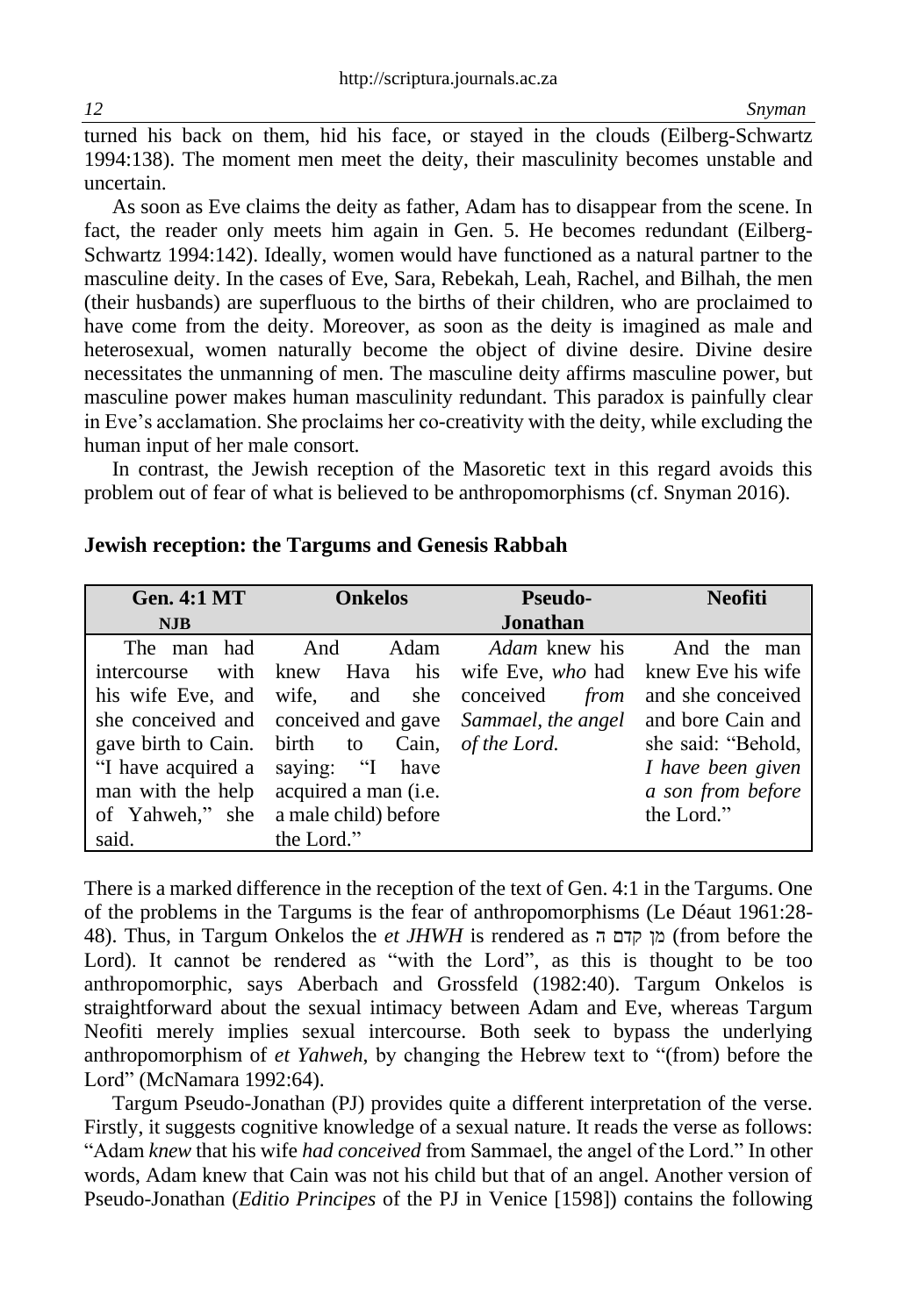turned his back on them, hid his face, or stayed in the clouds (Eilberg-Schwartz 1994:138). The moment men meet the deity, their masculinity becomes unstable and uncertain.

As soon as Eve claims the deity as father, Adam has to disappear from the scene. In fact, the reader only meets him again in Gen. 5. He becomes redundant (Eilberg-Schwartz 1994:142). Ideally, women would have functioned as a natural partner to the masculine deity. In the cases of Eve, Sara, Rebekah, Leah, Rachel, and Bilhah, the men (their husbands) are superfluous to the births of their children, who are proclaimed to have come from the deity. Moreover, as soon as the deity is imagined as male and heterosexual, women naturally become the object of divine desire. Divine desire necessitates the unmanning of men. The masculine deity affirms masculine power, but masculine power makes human masculinity redundant. This paradox is painfully clear in Eve's acclamation. She proclaims her co-creativity with the deity, while excluding the human input of her male consort.

In contrast, the Jewish reception of the Masoretic text in this regard avoids this problem out of fear of what is believed to be anthropomorphisms (cf. Snyman 2016).

| <b>Gen. 4:1 MT</b>           | <b>Onkelos</b>                                                            | <b>Pseudo-</b>                        | <b>Neofiti</b>     |
|------------------------------|---------------------------------------------------------------------------|---------------------------------------|--------------------|
| <b>NJB</b>                   |                                                                           | Jonathan                              |                    |
| The man had And              |                                                                           | Adam <i>Adam</i> knew his And the man |                    |
|                              | intercourse with knew Hava his wife Eve, who had knew Eve his wife        |                                       |                    |
|                              | his wife Eve, and wife, and she conceived from                            |                                       | and she conceived  |
|                              | she conceived and conceived and gave Sammael, the angel and bore Cain and |                                       |                    |
| gave birth to Cain. birth to |                                                                           | Cain, of the Lord.                    | she said: "Behold, |
| "I have acquired a           | saying: "I have                                                           |                                       | I have been given  |
| man with the help            | acquired a man (i.e.                                                      |                                       | a son from before  |
|                              | of Yahweh," she a male child) before                                      |                                       | the Lord."         |
| said.                        | the Lord."                                                                |                                       |                    |

#### **Jewish reception: the Targums and Genesis Rabbah**

There is a marked difference in the reception of the text of Gen. 4:1 in the Targums. One of the problems in the Targums is the fear of anthropomorphisms (Le Déaut 1961:28- 48). Thus, in Targum Onkelos the *et JHWH* is rendered as ה קדם מן) from before the Lord). It cannot be rendered as "with the Lord", as this is thought to be too anthropomorphic, says Aberbach and Grossfeld (1982:40). Targum Onkelos is straightforward about the sexual intimacy between Adam and Eve, whereas Targum Neofiti merely implies sexual intercourse. Both seek to bypass the underlying anthropomorphism of *et Yahweh*, by changing the Hebrew text to "(from) before the Lord" (McNamara 1992:64).

Targum Pseudo-Jonathan (PJ) provides quite a different interpretation of the verse. Firstly, it suggests cognitive knowledge of a sexual nature. It reads the verse as follows: "Adam *knew* that his wife *had conceived* from Sammael, the angel of the Lord." In other words, Adam knew that Cain was not his child but that of an angel. Another version of Pseudo-Jonathan (*Editio Principes* of the PJ in Venice [1598]) contains the following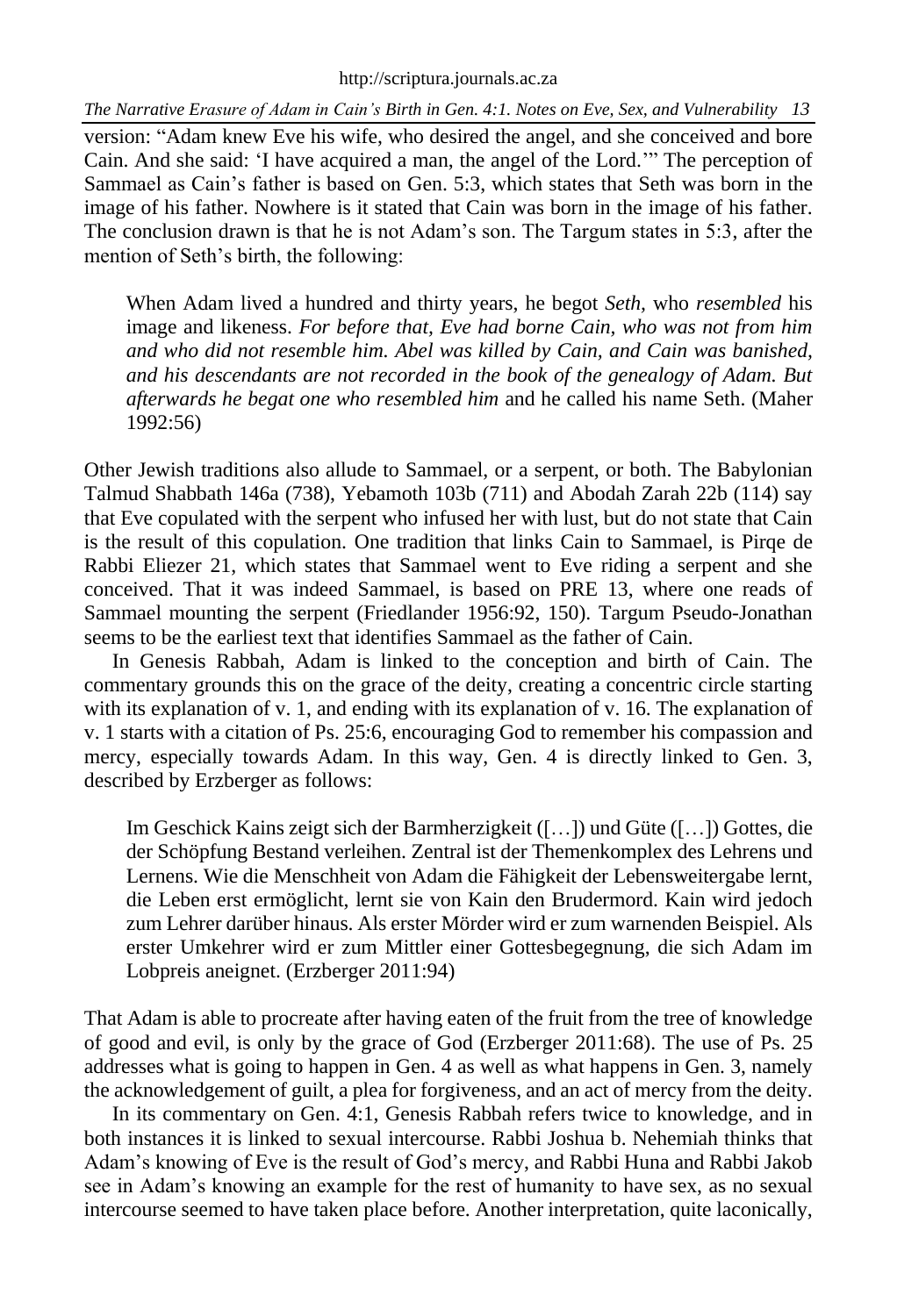#### [http://scriptura.journals.ac.za](http://scriptura.journals.ac.za/)

*The Narrative Erasure of Adam in Cain's Birth in Gen. 4:1. Notes on Eve, Sex, and Vulnerability 13*

version: "Adam knew Eve his wife, who desired the angel, and she conceived and bore Cain. And she said: 'I have acquired a man, the angel of the Lord.'" The perception of Sammael as Cain's father is based on Gen. 5:3, which states that Seth was born in the image of his father. Nowhere is it stated that Cain was born in the image of his father. The conclusion drawn is that he is not Adam's son. The Targum states in 5:3, after the mention of Seth's birth, the following:

When Adam lived a hundred and thirty years, he begot *Seth,* who *resembled* his image and likeness. *For before that, Eve had borne Cain, who was not from him and who did not resemble him. Abel was killed by Cain, and Cain was banished, and his descendants are not recorded in the book of the genealogy of Adam. But afterwards he begat one who resembled him* and he called his name Seth. (Maher 1992:56)

Other Jewish traditions also allude to Sammael, or a serpent, or both. The Babylonian Talmud Shabbath 146a (738), Yebamoth 103b (711) and Abodah Zarah 22b (114) say that Eve copulated with the serpent who infused her with lust, but do not state that Cain is the result of this copulation. One tradition that links Cain to Sammael, is Pirqe de Rabbi Eliezer 21, which states that Sammael went to Eve riding a serpent and she conceived. That it was indeed Sammael, is based on PRE 13, where one reads of Sammael mounting the serpent (Friedlander 1956:92, 150). Targum Pseudo-Jonathan seems to be the earliest text that identifies Sammael as the father of Cain.

In Genesis Rabbah, Adam is linked to the conception and birth of Cain. The commentary grounds this on the grace of the deity, creating a concentric circle starting with its explanation of v. 1, and ending with its explanation of v. 16. The explanation of v. 1 starts with a citation of Ps. 25:6, encouraging God to remember his compassion and mercy, especially towards Adam. In this way, Gen. 4 is directly linked to Gen. 3, described by Erzberger as follows:

Im Geschick Kains zeigt sich der Barmherzigkeit ([…]) und Güte ([…]) Gottes, die der Schöpfung Bestand verleihen. Zentral ist der Themenkomplex des Lehrens und Lernens. Wie die Menschheit von Adam die Fähigkeit der Lebensweitergabe lernt, die Leben erst ermöglicht, lernt sie von Kain den Brudermord. Kain wird jedoch zum Lehrer darüber hinaus. Als erster Mörder wird er zum warnenden Beispiel. Als erster Umkehrer wird er zum Mittler einer Gottesbegegnung, die sich Adam im Lobpreis aneignet. (Erzberger 2011:94)

That Adam is able to procreate after having eaten of the fruit from the tree of knowledge of good and evil, is only by the grace of God (Erzberger 2011:68). The use of Ps. 25 addresses what is going to happen in Gen. 4 as well as what happens in Gen. 3, namely the acknowledgement of guilt, a plea for forgiveness, and an act of mercy from the deity.

In its commentary on Gen. 4:1, Genesis Rabbah refers twice to knowledge, and in both instances it is linked to sexual intercourse. Rabbi Joshua b. Nehemiah thinks that Adam's knowing of Eve is the result of God's mercy, and Rabbi Huna and Rabbi Jakob see in Adam's knowing an example for the rest of humanity to have sex, as no sexual intercourse seemed to have taken place before. Another interpretation, quite laconically,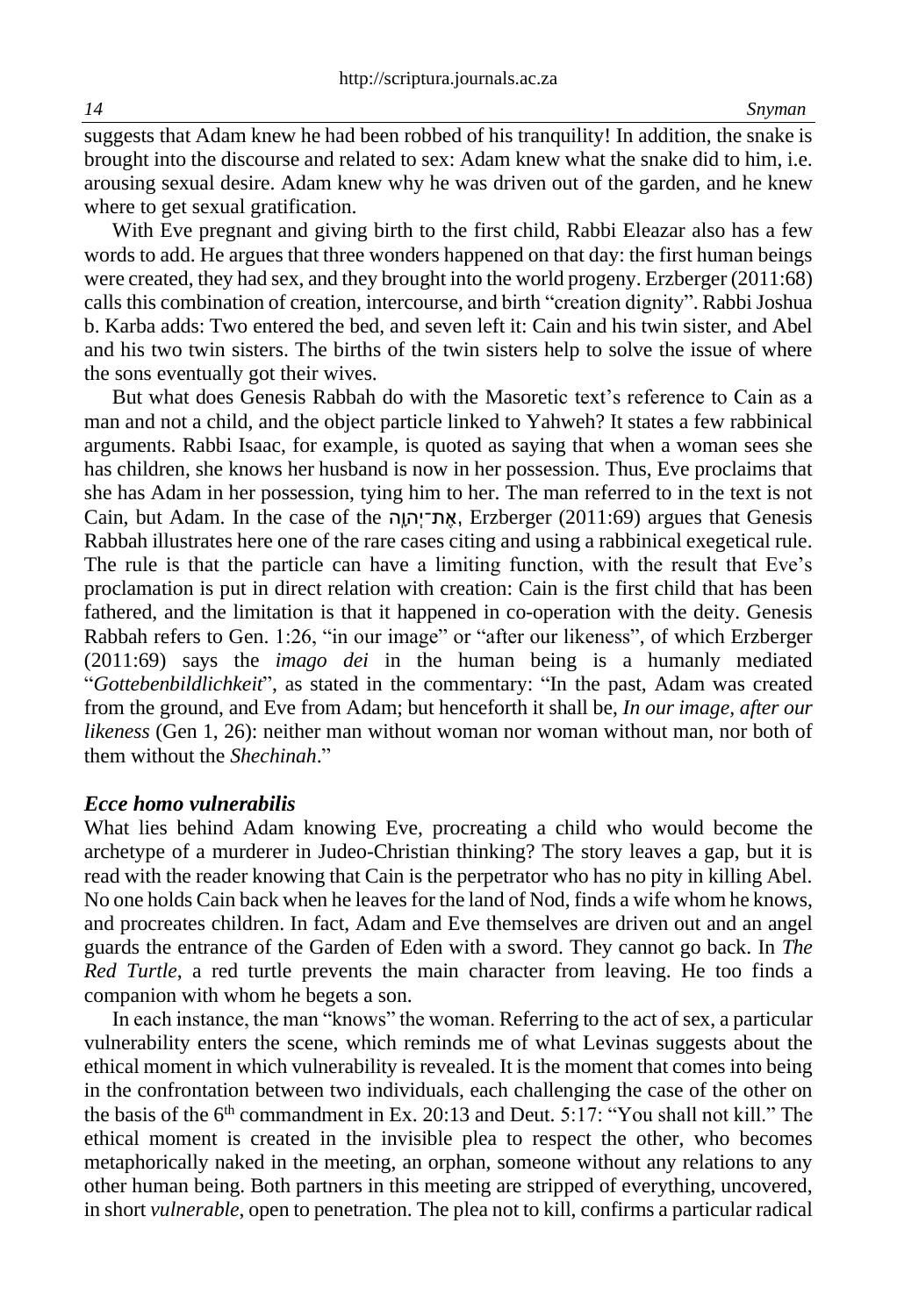suggests that Adam knew he had been robbed of his tranquility! In addition, the snake is brought into the discourse and related to sex: Adam knew what the snake did to him, i.e. arousing sexual desire. Adam knew why he was driven out of the garden, and he knew where to get sexual gratification.

With Eve pregnant and giving birth to the first child, Rabbi Eleazar also has a few words to add. He argues that three wonders happened on that day: the first human beings were created, they had sex, and they brought into the world progeny. Erzberger (2011:68) calls this combination of creation, intercourse, and birth "creation dignity". Rabbi Joshua b. Karba adds: Two entered the bed, and seven left it: Cain and his twin sister, and Abel and his two twin sisters. The births of the twin sisters help to solve the issue of where the sons eventually got their wives.

But what does Genesis Rabbah do with the Masoretic text's reference to Cain as a man and not a child, and the object particle linked to Yahweh? It states a few rabbinical arguments. Rabbi Isaac, for example, is quoted as saying that when a woman sees she has children, she knows her husband is now in her possession. Thus, Eve proclaims that she has Adam in her possession, tying him to her. The man referred to in the text is not Cain, but Adam. In the case of the יְהוָה, Erzberger (2011:69) argues that Genesis Rabbah illustrates here one of the rare cases citing and using a rabbinical exegetical rule. The rule is that the particle can have a limiting function, with the result that Eve's proclamation is put in direct relation with creation: Cain is the first child that has been fathered, and the limitation is that it happened in co-operation with the deity. Genesis Rabbah refers to Gen. 1:26, "in our image" or "after our likeness", of which Erzberger (2011:69) says the *imago dei* in the human being is a humanly mediated "*Gottebenbildlichkeit*", as stated in the commentary: "In the past, Adam was created from the ground, and Eve from Adam; but henceforth it shall be, *In our image, after our likeness* (Gen 1, 26): neither man without woman nor woman without man, nor both of them without the *Shechinah*."

### *Ecce homo vulnerabilis*

What lies behind Adam knowing Eve, procreating a child who would become the archetype of a murderer in Judeo-Christian thinking? The story leaves a gap, but it is read with the reader knowing that Cain is the perpetrator who has no pity in killing Abel. No one holds Cain back when he leaves for the land of Nod, finds a wife whom he knows, and procreates children. In fact, Adam and Eve themselves are driven out and an angel guards the entrance of the Garden of Eden with a sword. They cannot go back. In *The Red Turtle*, a red turtle prevents the main character from leaving. He too finds a companion with whom he begets a son.

In each instance, the man "knows" the woman. Referring to the act of sex, a particular vulnerability enters the scene, which reminds me of what Levinas suggests about the ethical moment in which vulnerability is revealed. It is the moment that comes into being in the confrontation between two individuals, each challenging the case of the other on the basis of the 6<sup>th</sup> commandment in Ex. 20:13 and Deut. 5:17: "You shall not kill." The ethical moment is created in the invisible plea to respect the other, who becomes metaphorically naked in the meeting, an orphan, someone without any relations to any other human being. Both partners in this meeting are stripped of everything, uncovered, in short *vulnerable*, open to penetration. The plea not to kill, confirms a particular radical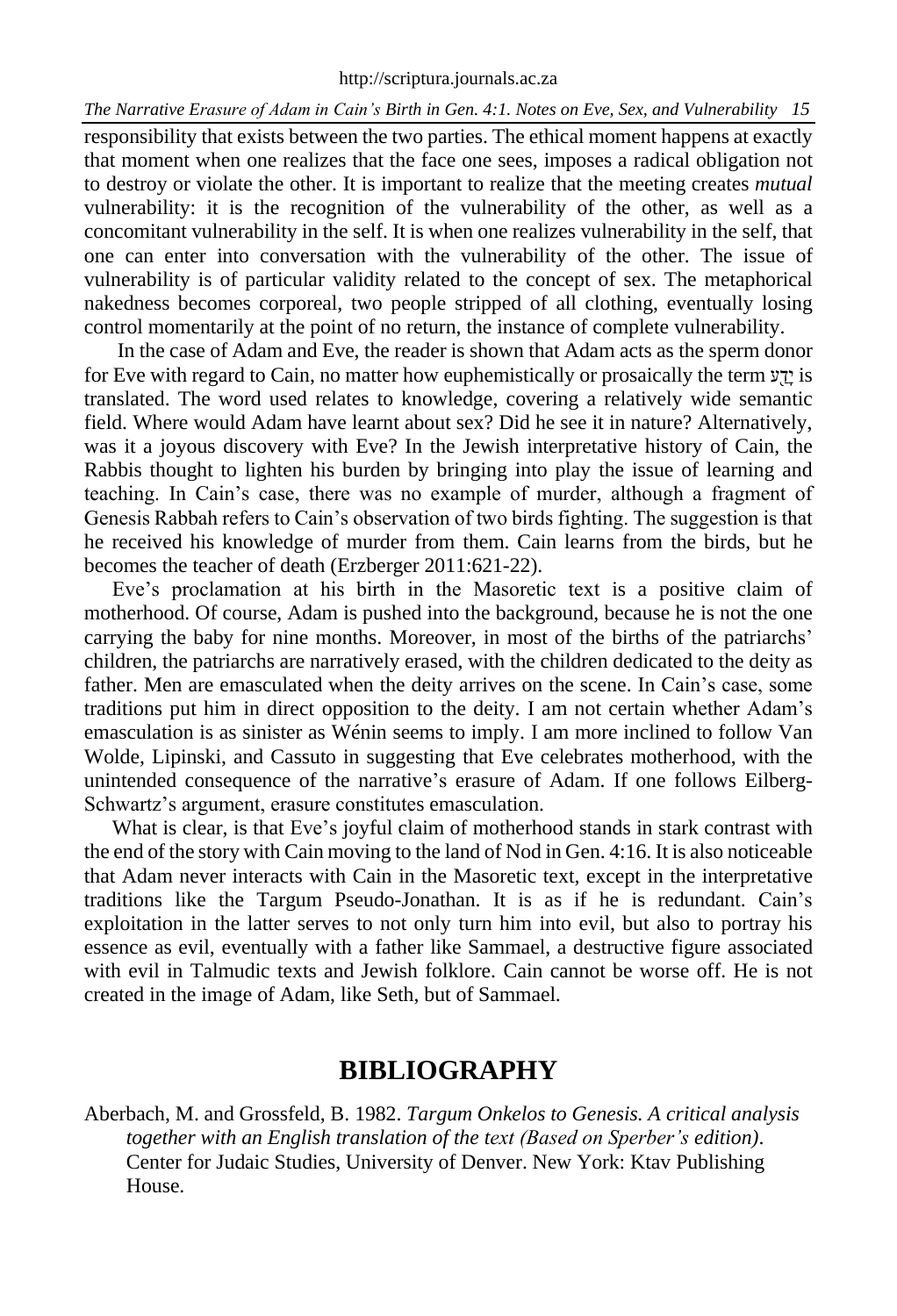responsibility that exists between the two parties. The ethical moment happens at exactly that moment when one realizes that the face one sees, imposes a radical obligation not to destroy or violate the other. It is important to realize that the meeting creates *mutual* vulnerability: it is the recognition of the vulnerability of the other, as well as a concomitant vulnerability in the self. It is when one realizes vulnerability in the self, that one can enter into conversation with the vulnerability of the other. The issue of vulnerability is of particular validity related to the concept of sex. The metaphorical nakedness becomes corporeal, two people stripped of all clothing, eventually losing control momentarily at the point of no return, the instance of complete vulnerability.

In the case of Adam and Eve, the reader is shown that Adam acts as the sperm donor for Eve with regard to Cain, no matter how euphemistically or prosaically the term  $y\gamma$  is translated. The word used relates to knowledge, covering a relatively wide semantic field. Where would Adam have learnt about sex? Did he see it in nature? Alternatively, was it a joyous discovery with Eve? In the Jewish interpretative history of Cain, the Rabbis thought to lighten his burden by bringing into play the issue of learning and teaching. In Cain's case, there was no example of murder, although a fragment of Genesis Rabbah refers to Cain's observation of two birds fighting. The suggestion is that he received his knowledge of murder from them. Cain learns from the birds, but he becomes the teacher of death (Erzberger 2011:621-22).

Eve's proclamation at his birth in the Masoretic text is a positive claim of motherhood. Of course, Adam is pushed into the background, because he is not the one carrying the baby for nine months. Moreover, in most of the births of the patriarchs' children, the patriarchs are narratively erased, with the children dedicated to the deity as father. Men are emasculated when the deity arrives on the scene. In Cain's case, some traditions put him in direct opposition to the deity. I am not certain whether Adam's emasculation is as sinister as Wénin seems to imply. I am more inclined to follow Van Wolde, Lipinski, and Cassuto in suggesting that Eve celebrates motherhood, with the unintended consequence of the narrative's erasure of Adam. If one follows Eilberg-Schwartz's argument, erasure constitutes emasculation.

What is clear, is that Eve's joyful claim of motherhood stands in stark contrast with the end of the story with Cain moving to the land of Nod in Gen. 4:16. It is also noticeable that Adam never interacts with Cain in the Masoretic text, except in the interpretative traditions like the Targum Pseudo-Jonathan. It is as if he is redundant. Cain's exploitation in the latter serves to not only turn him into evil, but also to portray his essence as evil, eventually with a father like Sammael, a destructive figure associated with evil in Talmudic texts and Jewish folklore. Cain cannot be worse off. He is not created in the image of Adam, like Seth, but of Sammael.

# **BIBLIOGRAPHY**

Aberbach, M. and Grossfeld, B. 1982. *Targum Onkelos to Genesis. A critical analysis together with an English translation of the text (Based on Sperber's edition)*. Center for Judaic Studies, University of Denver. New York: Ktav Publishing House.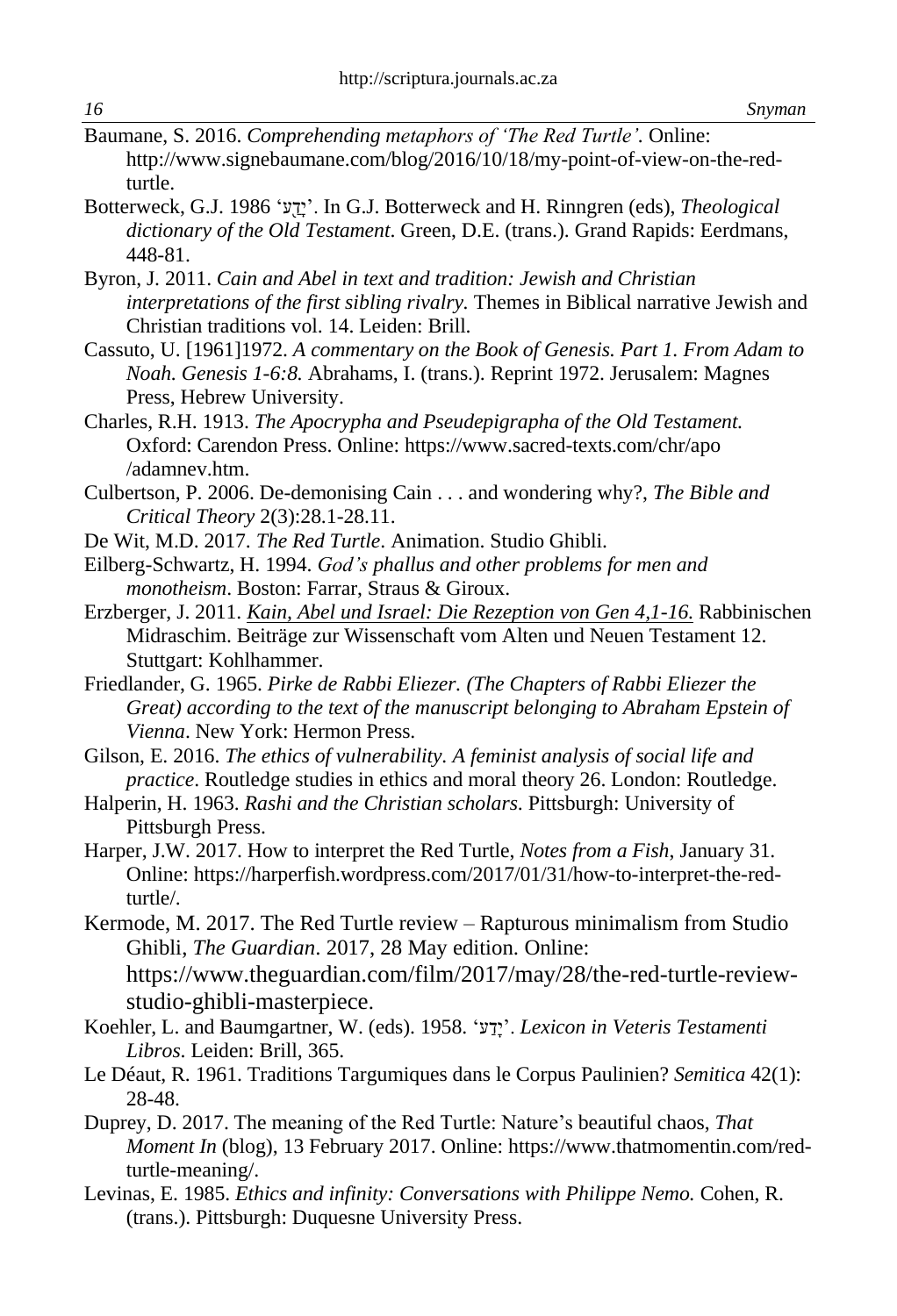- Baumane, S. 2016. *Comprehending metaphors of 'The Red Turtle'.* Online: [http://www.signebaumane.com/blog/2016/10/18/my-point-of-view-on-the-red](http://www.signebaumane.com/blog/2016/10/18/my-point-of-view-on-the-red-turtle)[turtle.](http://www.signebaumane.com/blog/2016/10/18/my-point-of-view-on-the-red-turtle)
- Botterweck, G.J. 1986 'עַ֖ דָי'. In G.J. Botterweck and H. Rinngren (eds), *Theological dictionary of the Old Testament*. Green, D.E. (trans.). Grand Rapids: Eerdmans, 448-81.
- Byron, J. 2011. *Cain and Abel in text and tradition: Jewish and Christian interpretations of the first sibling rivalry.* Themes in Biblical narrative Jewish and Christian traditions vol. 14. Leiden: Brill.
- Cassuto, U. [1961]1972. *A commentary on the Book of Genesis. Part 1. From Adam to Noah. Genesis 1-6:8.* Abrahams, I. (trans.). Reprint 1972. Jerusalem: Magnes Press, Hebrew University.
- Charles, R.H. 1913. *The Apocrypha and Pseudepigrapha of the Old Testament.*  Oxford: Carendon Press. Online[: https://www.sacred-texts.com/chr/apo](https://www.sacred-texts.com/chr/apo%20/adamnev.htm)  [/adamnev.htm.](https://www.sacred-texts.com/chr/apo%20/adamnev.htm)
- Culbertson, P. 2006. De-demonising Cain . . . and wondering why?, *The Bible and Critical Theory* 2(3):28.1-28.11.
- De Wit, M.D. 2017. *The Red Turtle*. Animation. Studio Ghibli.
- Eilberg-Schwartz, H. 1994. *God's phallus and other problems for men and monotheism*. Boston: Farrar, Straus & Giroux.
- Erzberger, J. 2011. *Kain, Abel und Israel: Die Rezeption von Gen 4,1-16.* Rabbinischen Midraschim. Beiträge zur Wissenschaft vom Alten und Neuen Testament 12. Stuttgart: Kohlhammer.
- Friedlander, G. 1965. *Pirke de Rabbi Eliezer. (The Chapters of Rabbi Eliezer the Great) according to the text of the manuscript belonging to Abraham Epstein of Vienna*. New York: Hermon Press.
- Gilson, E. 2016. *The ethics of vulnerability. A feminist analysis of social life and practice*. Routledge studies in ethics and moral theory 26. London: Routledge.
- Halperin, H. 1963. *Rashi and the Christian scholars*. Pittsburgh: University of Pittsburgh Press.
- Harper, J.W. 2017. How to interpret the Red Turtle, *Notes from a Fish*, January 31. Online: [https://harperfish.wordpress.com/2017/01/31/how-to-interpret-the-red](https://harperfish.wordpress.com/2017/01/31/how-to-interpret-the-red-turtle/)[turtle/.](https://harperfish.wordpress.com/2017/01/31/how-to-interpret-the-red-turtle/)
- Kermode, M. 2017. The Red Turtle review Rapturous minimalism from Studio Ghibli, *The Guardian*. 2017, 28 May edition. Online: [https://www.theguardian.com/film/2017/may/28/the-red-turtle-review](https://www.theguardian.com/film/2017/may/28/the-red-turtle-review-studio-ghibli-masterpiece)[studio-ghibli-masterpiece](https://www.theguardian.com/film/2017/may/28/the-red-turtle-review-studio-ghibli-masterpiece).
- Koehler, L. and Baumgartner, W. (eds). 1958. 'ע דָי'. *Lexicon in Veteris Testamenti Libros*. Leiden: Brill, 365.
- Le Déaut, R. 1961. Traditions Targumiques dans le Corpus Paulinien? *Semitica* 42(1): 28-48.
- Duprey, D. 2017. The meaning of the Red Turtle: Nature's beautiful chaos, *That Moment In* (blog), 13 February 2017. Online: [https://www.thatmomentin.com/red](https://www.thatmomentin.com/red-turtle-meaning/)[turtle-meaning/.](https://www.thatmomentin.com/red-turtle-meaning/)
- Levinas, E. 1985. *Ethics and infinity: Conversations with Philippe Nemo.* Cohen, R. (trans.). Pittsburgh: Duquesne University Press.